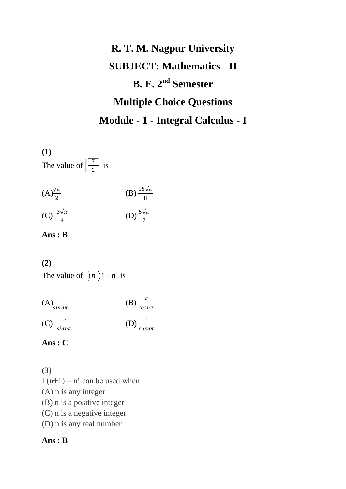# **R. T. M. Nagpur University SUBJECT: Mathematics - II B. E. 2nd Semester Multiple Choice Questions Module - 1 - Integral Calculus - I**

**(1)**  The value of  $\frac{7}{2}$  $\frac{7}{2}$  is



### **Ans : B**

#### **(2)**

The value of  $\langle n \rangle$  1 - *n* is





**(3)**   $\Gamma(n+1) = n!$  can be used when

- (A) n is any integer
- (B) n is a positive integer
- (C) n is a negative integer
- (D) n is any real number

#### **Ans : B**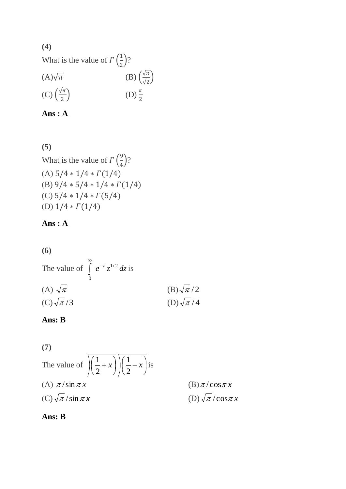#### **(4)**

What is the value of  $\Gamma\left(\frac{1}{2}\right)$  $\frac{1}{2}$ ?

| $(A)\sqrt{\pi}$                         | (B) $\left(\frac{\sqrt{\pi}}{\sqrt{2}}\right)$ |
|-----------------------------------------|------------------------------------------------|
| (C) $\left(\frac{\sqrt{\pi}}{2}\right)$ | $(D)\frac{\pi}{2}$                             |



**(5)**  What is the value of  $\Gamma\left(\frac{9}{4}\right)$  $\frac{5}{4}$ ? (A)  $5/4 * 1/4 * \Gamma(1/4)$ (B)  $9/4 * 5/4 * 1/4 * \Gamma(1/4)$ (C)  $5/4 * 1/4 * \Gamma(5/4)$ (D)  $1/4 * \Gamma(1/4)$ 

### **Ans : A**

#### **(6)**

The value of 
$$
\int_{0}^{\infty} e^{-z} z^{1/2} dz
$$
 is  
\n(A)  $\sqrt{\pi}$   
\n(B)  $\sqrt{\pi}/2$   
\n(C)  $\sqrt{\pi}/3$   
\n(D)  $\sqrt{\pi}/4$ 

#### **Ans: B**

**(7)**  The value of  $\left\| \frac{1}{2} + x \right\| \left\| \frac{1}{2} - x \right\|$ J  $\setminus$  $\mathsf{I}$  $\setminus$  $\left( \frac{1}{2} \right)$ J  $\setminus$  $\mathsf{I}$  $\setminus$  $\left(\frac{1}{2}+x\right)\left(\frac{1}{2}-x\right)$ 2 1 2 1 is (A)  $\pi$ /sin  $\pi$ *x*  $(B)$   $\pi$  /  $\cos \pi x$  $(C)\sqrt{\pi}/\sin \pi x$  $(D)\sqrt{\pi}/\cos \pi x$ 

#### **Ans: B**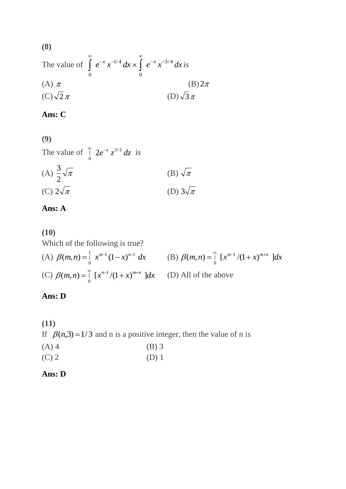(8)  
\nThe value of 
$$
\int_{0}^{\infty} e^{-x} x^{-1/4} dx \times \int_{0}^{\infty} e^{-x} x^{-3/4} dx
$$
 is  
\n(A)  $\pi$   
\n(B)  $2\pi$   
\n(C)  $\sqrt{2}\pi$   
\n(D)  $\sqrt{3}\pi$ 

## **Ans: C**

**(9)**  The value of  $\int_{0}^{\infty} 2e^{-z} z^{3/2} dz$  $\int_{1}^{\infty} 2e^{-z} z^{3/2} dz$  is (A)  $\frac{3}{2}\sqrt{\pi}$ 3 (B)  $\sqrt{\pi}$ (C)  $2\sqrt{\pi}$ (D)  $3\sqrt{\pi}$ 

## **Ans: A**

(10)  
\nWhich of the following is true?  
\n(A) 
$$
\beta(m,n) = \int_{0}^{1} x^{m-1} (1-x)^{n-1} dx
$$
  
\n(B)  $\beta(m,n) = \int_{0}^{\infty} [x^{m-1}/(1+x)^{m+n}] dx$   
\n(C)  $\beta(m,n) = \int_{0}^{\infty} [x^{n-1}/(1+x)^{m+n}] dx$   
\n(D) All of the above

#### **Ans: D**

**(11)**  If  $\beta(n,3) = 1/3$  and n is a positive integer, then the value of n is  $(A) 4$  (B) 3  $(C) 2$  (D) 1

#### **Ans: D**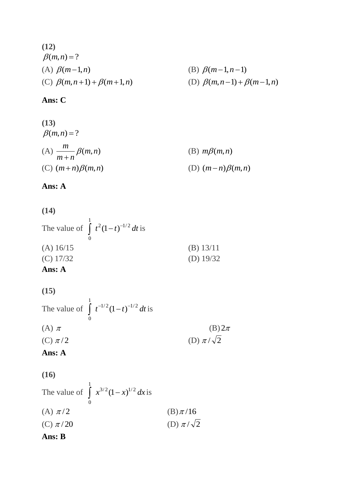(12)  
\n
$$
\beta(m,n) = ?
$$
  
\n(A)  $\beta(m-1,n)$   
\n(B)  $\beta(m-1,n-1)$   
\n(C)  $\beta(m,n+1) + \beta(m+1,n)$   
\n(D)  $\beta(m,n-1) + \beta(m-1,n)$ 

## **Ans: C**

(13)  
\n
$$
\beta(m,n) = ?
$$
\n(A) 
$$
\frac{m}{m+n} \beta(m,n)
$$
\n(B) 
$$
m\beta(m,n)
$$
\n(C) 
$$
(m+n)\beta(m,n)
$$
\n(D) 
$$
(m-n)\beta(m,n)
$$

## **Ans: A**

| (14)                                      |             |
|-------------------------------------------|-------------|
| The value of $\int t^2(1-t)^{-1/2} dt$ is |             |
| (A) 16/15                                 | $(B)$ 13/11 |
| $(C)$ 17/32                               | (D) $19/32$ |
| Ans: A                                    |             |

**(15)** 

The value of 
$$
\int_{0}^{1} t^{-1/2} (1-t)^{-1/2} dt
$$
 is  
\n(A)  $\pi$  (B)  $2\pi$   
\n(C)  $\pi/2$  (D)  $\pi/\sqrt{2}$   
\n**Ans:** A

**(16)** 

The value of 
$$
\int_{0}^{1} x^{3/2} (1-x)^{1/2} dx
$$
 is  
\n(A)  $\pi/2$  (B)  $\pi/16$   
\n(C)  $\pi/20$  (D)  $\pi/\sqrt{2}$   
\n**Ans: B**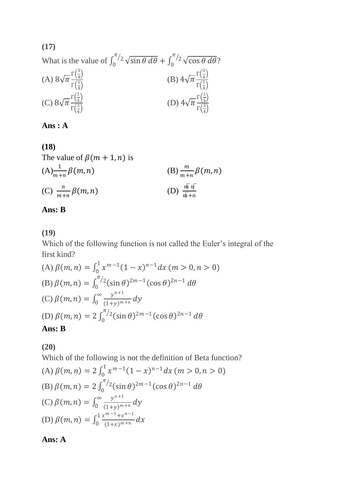**(17)**  What is the value of  $\int_0^{1/2} \sqrt{\sin \theta} d\theta$  $\frac{\pi}{2}$  $\int_0^{1/2} \sqrt{\sin \theta} \, d\theta + \int_0^{1/2} \sqrt{\cos \theta} \, d\theta$  $\frac{\pi}{2}$  $\int_0^{\pi/2} \sqrt{\cos \theta} \, d\theta$ ? (A)  $8\sqrt{\pi} \frac{\Gamma(\frac{3}{4})}{\Gamma(1)}$  $\frac{5}{4}$ (B)  $4\sqrt{\pi} \frac{\Gamma(\frac{3}{4})}{\Gamma(\frac{1}{4})}$  $\frac{3}{4}$ 

(A) 
$$
\text{OVI} \frac{\Gamma\left(\frac{1}{4}\right)}{\Gamma\left(\frac{1}{4}\right)}
$$
  
\n(C)  $8\sqrt{\pi} \frac{\Gamma\left(\frac{1}{4}\right)}{\Gamma\left(\frac{3}{4}\right)}$   
\n(D)  $4\sqrt{\pi} \frac{\Gamma\left(\frac{1}{4}\right)}{\Gamma\left(\frac{3}{4}\right)}$ 

**Ans : A**

(18)  
\nThe value of 
$$
\beta(m + 1, n)
$$
 is  
\n(A) $\frac{1}{m+n} \beta(m, n)$   
\n(B)  $\frac{m}{m+n} \beta(m, n)$   
\n(C)  $\frac{n}{m+n} \beta(m, n)$   
\n(D)  $\frac{\overline{m} \overline{n}}{\overline{m} + n}$ 

#### **Ans: B**

#### **(19)**

Which of the following function is not called the Euler's integral of the first kind?

(A) 
$$
\beta(m, n) = \int_0^1 x^{m-1} (1 - x)^{n-1} dx
$$
  $(m > 0, n > 0)$   
\n(B)  $\beta(m, n) = \int_0^{\pi/2} (\sin \theta)^{2m-1} (\cos \theta)^{2n-1} d\theta$   
\n(C)  $\beta(m, n) = \int_0^{\infty} \frac{y^{n+1}}{(1+y)^{m+n}} dy$   
\n(D)  $\beta(m, n) = 2 \int_0^{\pi/2} (\sin \theta)^{2m-1} (\cos \theta)^{2n-1} d\theta$   
\n**Ans: B**

#### **(20)**

Which of the following is not the definition of Beta function?

(A) 
$$
\beta(m, n) = 2 \int_0^1 x^{m-1} (1 - x)^{n-1} dx
$$
  $(m > 0, n > 0)$   
\n(B)  $\beta(m, n) = 2 \int_0^{\pi/2} (\sin \theta)^{2m-1} (\cos \theta)^{2n-1} d\theta$   
\n(C)  $\beta(m, n) = \int_0^\infty \frac{y^{n+1}}{(1+y)^{m+n}} dy$   
\n(D)  $\beta(m, n) = \int_0^1 \frac{x^{m-1} + x^{n-1}}{(1+x)^{m+n}} dx$ 

#### **Ans: A**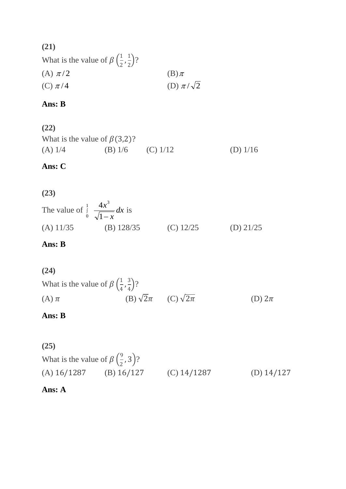#### **(21)** What is the value of  $\beta\left(\frac{1}{2}\right)$  $\frac{1}{2}, \frac{1}{2}$  $\frac{1}{2}$ ? (A)  $\pi/2$  $(B)\pi$  $(C)$   $\pi/4$ (D)  $\pi/\sqrt{2}$

## **Ans: B**

| (22)                                |                      |            |
|-------------------------------------|----------------------|------------|
| What is the value of $\beta(3,2)$ ? |                      |            |
| $(A)$ 1/4                           | (B) $1/6$ (C) $1/12$ | (D) $1/16$ |

## **Ans: C**

### **(23)**

| The value of $\int_{0}^{1} \frac{4x^3}{\sqrt{1-x}} dx$ is |              |             |             |
|-----------------------------------------------------------|--------------|-------------|-------------|
| $(A)$ 11/35                                               | (B) $128/35$ | (C) $12/25$ | (D) $21/25$ |

### **Ans: B**

### **(24)**

| What is the value of $\beta\left(\frac{1}{4},\frac{3}{4}\right)$ ? |                                     |            |
|--------------------------------------------------------------------|-------------------------------------|------------|
| $(A)$ $\pi$                                                        | (B) $\sqrt{2}\pi$ (C) $\sqrt{2\pi}$ | (D) $2\pi$ |

### **Ans: B**

## **(25)**

What is the value of  $\beta\left(\frac{9}{2}\right)$  $(\frac{5}{2}, 3)$ ? (A) 16/1287 (B) 16/127 (C) 14/1287 (D) 14/127

### **Ans: A**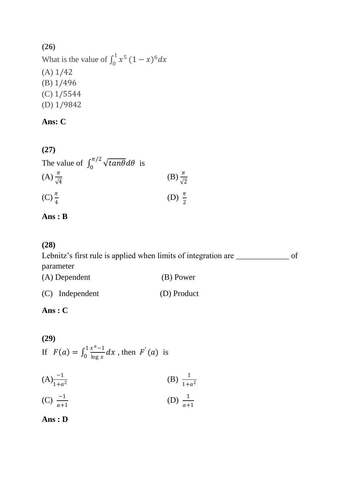### **(26)**

What is the value of  $\int_0^1 x^5 (1-x)^6 dx$ 0 (A) 1/42 (B) 1/496 (C) 1/5544 (D) 1/9842

### **Ans: C**

| (27)                                                        |                            |
|-------------------------------------------------------------|----------------------------|
| The value of $\int_0^{\pi/2} \sqrt{\tan \theta} d\theta$ is |                            |
| $(A)\frac{\pi}{\sqrt{4}}$                                   | (B) $\frac{\pi}{\sqrt{2}}$ |
| $(C)\frac{\pi}{4}$                                          | (D) $\frac{\pi}{2}$        |

#### **Ans : B**

#### **(28)**

Lebnitz's first rule is applied when limits of integration are \_\_\_\_\_\_\_\_\_\_\_\_\_\_\_\_ of parameter (A) Dependent (B) Power (C) Independent (D) Product

#### **Ans : C**

(29)  
If 
$$
F(a) = \int_0^1 \frac{x^a - 1}{\log x} dx
$$
, then  $F'(a)$  is

(A)
$$
\frac{-1}{1+a^2}
$$
  
\n(B)  $\frac{1}{1+a^2}$   
\n(C)  $\frac{-1}{a+1}$   
\n(D)  $\frac{1}{a+1}$ 

**Ans : D**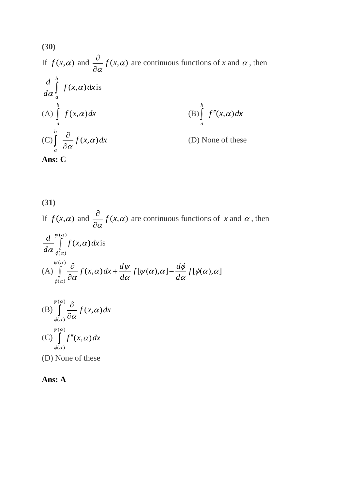If  $f(x, \alpha)$  and  $\frac{\alpha}{\alpha} f(x, \alpha)$  $\alpha$ *f x*  $\partial$  $\partial$ are continuous functions of  $x$  and  $\alpha$ , then  $f(x, \alpha) dx$ *d*  $d \, \nvert^{b}$ *a*  $(x,\alpha)$  $\int_{\alpha}^{1}$   $f(x,\alpha)dx$  is  $f(x, \alpha) dx$ *b a*  $\int f(x,\alpha)$  $(f''(x, \alpha)dx)$ *b a*  $\int f''(x,\alpha)$  $f(C)$   $\int_{0}^{C}$   $-f(x, \alpha) dx$ *b a*  $(x,\alpha)$  $\partial \alpha$  $\partial$  $\int$ (D) None of these



**(31)**  If  $f(x, \alpha)$  and  $\frac{\alpha}{\alpha} f(x, \alpha)$  $\alpha$ *f x*  $\partial$  $\partial$ are continuous functions of  $x$  and  $\alpha$ , then  $f(x, a) dx$ *d d*  $(x, \alpha)$  $(\alpha)$  $(\alpha)$  $\alpha$  $\alpha$  $\psi(\alpha)$  $\phi(\alpha)$  $\int f(x,\alpha)dx$ is (A)  $\int_{0}^{L} \frac{C}{2} f(x, \alpha) dx + \frac{\alpha \psi}{L} f[\psi(\alpha), \alpha] - \frac{\alpha \psi}{L} f[\phi(\alpha), \alpha]$  $(\alpha)$  $(\alpha)$  $\phi(\alpha)$ , $\alpha$  $\alpha$  $\phi$  $\psi(\alpha)$ , $\alpha$  $\alpha$  $\alpha$ ) dx +  $\frac{d\psi}{dx}$  $\alpha$  $\psi(\alpha)$  $\phi(\alpha)$ *f d d f d d*  $f(x, \alpha) dx + \frac{\alpha \psi}{\alpha} f[\psi(\alpha), \alpha] \partial$  $\partial$ ſ (B)  $\int \frac{d^2y}{dx^2} f(x, a) dx$  $(\alpha)$  $\alpha$  $\int_{0}^{\psi(\alpha)} \hat{c}$  $\int$ 

$$
\begin{array}{c}\n\text{(B)} \quad \int\limits_{\phi(\alpha)} \frac{1}{\partial \alpha} J(x, \alpha) dx \\
\text{(C)} \quad \int\limits_{\phi(\alpha)} f''(x, \alpha) dx\n\end{array}
$$

(D) None of these

#### **Ans: A**

**(30)**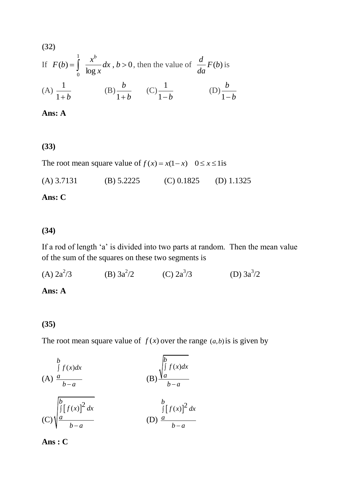(32)  
\nIf 
$$
F(b) = \int_0^1 \frac{x^b}{\log x} dx
$$
,  $b > 0$ , then the value of  $\frac{d}{da} F(b)$  is  
\n(A)  $\frac{1}{1+b}$  \n(B)  $\frac{b}{1+b}$  \n(C)  $\frac{1}{1-b}$  \n(D)  $\frac{b}{1-b}$ 

#### **Ans: A**

#### **(33)**

The root mean square value of  $f(x) = x(1-x)$   $0 \le x \le 1$  is (A) 3.7131 (B) 5.2225 (C) 0.1825 (D) 1.1325

#### **Ans: C**

#### **(34)**

If a rod of length 'a' is divided into two parts at random. Then the mean value of the sum of the squares on these two segments is

 $(A)$   $2a^2/3$ (3 (B)  $3a^2/2$  (C)  $2a^3/3$  (D)  $3a^3/2$ 

#### **Ans: A**

#### **(35)**

The root mean square value of  $f(x)$  over the range  $(a,b)$  is is given by

$$
\int_{a}^{b} f(x)dx
$$
\n(A)  $\frac{a}{b-a}$  (B)  $\frac{\int_{a}^{b} f(x)dx}{b-a}$  (C)  $\sqrt{\frac{a}{b-a}}$  (D)  $\frac{a}{b-a}$ 

**Ans : C**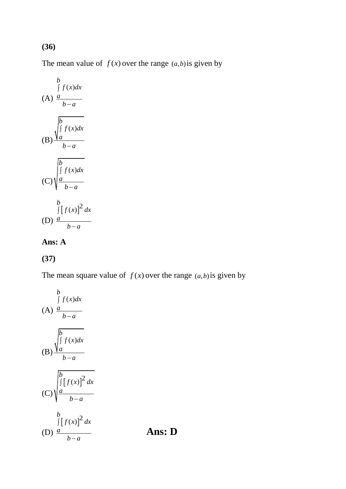**(36)** 

The mean value of  $f(x)$  over the range  $(a,b)$  is given by

$$
\int_{a}^{b} f(x)dx
$$
\n(A) 
$$
\frac{a}{b-a}
$$
\n(B) 
$$
\frac{\int_{a}^{b} f(x)dx}{b-a}
$$
\n(C) 
$$
\int_{a}^{b} f(x)dx
$$
\n(C) 
$$
\int_{a}^{b} [f(x)]^{2} dx
$$
\n(D) 
$$
\frac{a}{b-a}
$$

## **Ans: A**

## **(37)**

The mean square value of  $f(x)$  over the range  $(a,b)$  is given by

b  
\n
$$
\int f(x)dx
$$
  
\n(A)  $\frac{a}{b-a}$   
\n
$$
\int_{a}^{b} f(x)dx
$$
  
\n(B)  $\frac{\int_{a}^{b} [f(x)]^{2} dx}{b-a}$   
\n(C)  $\sqrt{\frac{a}{b-a}}$   
\n
$$
\int_{a}^{b} [f(x)]^{2} dx
$$
  
\n(D)  $\frac{a}{b-a}$  Ans: D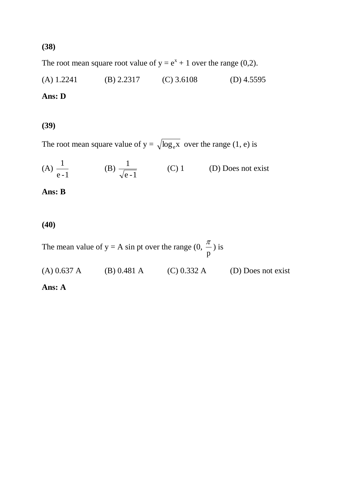#### **(38)**

The root mean square root value of  $y = e^{x} + 1$  over the range (0,2).

(A) 1.2241 (B) 2.2317 (C) 3.6108 (D) 4.5595

#### **Ans: D**

#### **(39)**

The root mean square value of  $y = \sqrt{\log_e x}$  over the range (1, e) is

(A) 
$$
\frac{1}{e-1}
$$
 (B)  $\frac{1}{\sqrt{e-1}}$  (C) 1 (D) Does not exist

#### **Ans: B**

#### **(40)**

The mean value of  $y = A \sin pt$  over the range (0, p  $\frac{\pi}{\nu})$  is (A) 0.637 A (B) 0.481 A (C) 0.332 A (D) Does not exist

#### **Ans: A**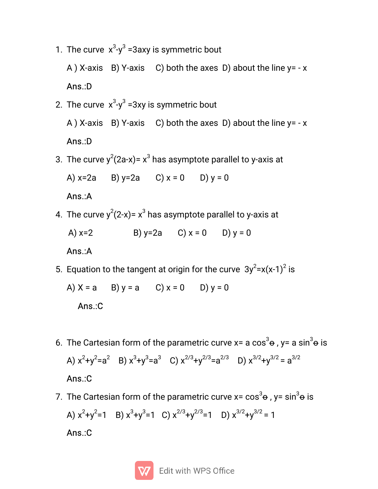1. The curve  $x^3-y^3$  =3axy is symmetric bout

A ) X-axis B) Y-axis C) both the axes D) about the line  $y = -x$ 

Ans.:D

2. The curve  $x^3-y^3$  = 3xy is symmetric bout

A ) X-axis B) Y-axis C) both the axes D) about the line  $y = -x$ 

## Ans.:D

3. The curve  $y^2(2a-x) = x^3$  has asymptote parallel to y-axis at

A)  $x=2a$  B)  $y=2a$  C)  $x = 0$  D)  $y = 0$ 

## Ans.:A

4. The curve  $y^2(2-x) = x^3$  has asymptote parallel to y-axis at

A)  $x=2$ B)  $y=2a$  C)  $x = 0$  D)  $y = 0$ 

## $Ans.: A$

5. Equation to the tangent at origin for the curve  $3y^2 = x(x-1)^2$  is

A)  $X = a$  B)  $y = a$  C)  $x = 0$  D)  $y = 0$ 

### Ans.:C

- 6. The Cartesian form of the parametric curve  $x = a cos<sup>3</sup> \theta$ ,  $y = a sin<sup>3</sup> \theta$  is A)  $x^2 + y^2 = a^2$  B)  $x^3 + y^3 = a^3$  C)  $x^{2/3} + y^{2/3} = a^{2/3}$  D)  $x^{3/2} + y^{3/2} = a^{3/2}$ Ans.:C
- 7. The Cartesian form of the parametric curve  $x = cos<sup>3</sup> \theta$ ,  $y = sin<sup>3</sup> \theta$  is A)  $x^2+y^2=1$  B)  $x^3+y^3=1$  C)  $x^{2/3}+y^{2/3}=1$  D)  $x^{3/2}+y^{3/2}=1$ Ans.:C

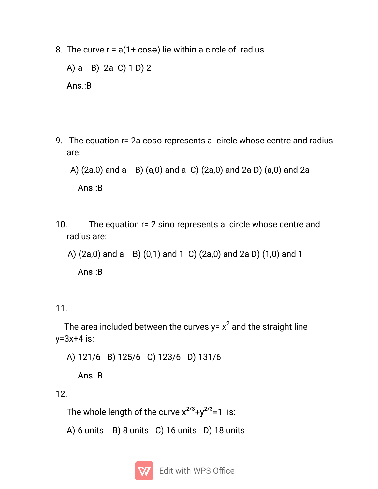8. The curve  $r = a(1 + cos \theta)$  lie within a circle of radius

A) a B) 2a C)  $1 D$ ) 2

#### $Ans.B$

9. The equation r= 2a cose represents a circle whose centre and radius are:

```
A) (2a,0) and a B) (a,0) and a C) (2a,0) and 2a D) (a,0) and 2a
```
 $Ans.B$ 

 $10.$ The equation r= 2 sine represents a circle whose centre and radius are:

A) (2a,0) and a B) (0,1) and 1 C) (2a,0) and 2a D) (1,0) and 1

 $Ans.: B$ 

## $11.$

The area included between the curves  $y = x^2$  and the straight line  $y=3x+4$  is:

A) 121/6 B) 125/6 C) 123/6 D) 131/6

## Ans. B

 $12.$ 

The whole length of the curve  $x^{2/3}+y^{2/3}=1$  is:

```
A) 6 units B) 8 units C) 16 units D) 18 units
```
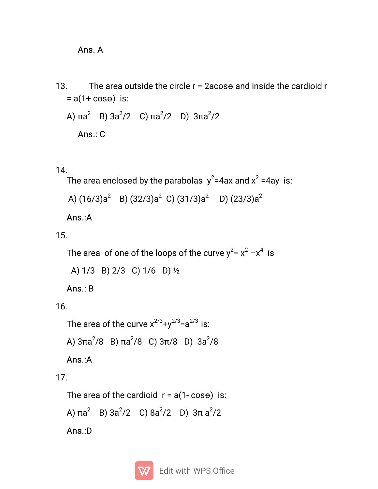### Ans. A

The area outside the circle  $r = 2a\cos\theta$  and inside the cardioid  $r = 2a\cos\theta$  $13.$  $= a(1 + \cos\theta)$  is: A)  $\pi a^2$  B)  $3a^2/2$  C)  $\pi a^2/2$  D)  $3\pi a^2/2$ Ans.: C

#### 14.

```
The area enclosed by the parabolas y^2=4ax and x^2 =4ay is:
```

```
A) (16/3)a^2 B) (32/3)a^2 C) (31/3)a^2 D) (23/3)a^2
```
### $Ans.: A$

### $15.$

The area of one of the loops of the curve  $y^2 = x^2 - x^4$  is

A) 1/3 B) 2/3 C) 1/6 D) 1/2

## Ans.:  $B$

16.

The area of the curve  $x^{2/3}+y^{2/3}=a^{2/3}$  is: A)  $3\pi a^2/8$  B)  $\pi a^2/8$  C)  $3\pi/8$  D)  $3a^2/8$ 

## Ans.:A

## $17<sub>1</sub>$

The area of the cardioid  $r = a(1 - \cos \theta)$  is:

A) 
$$
\pi a^2
$$
 B)  $3a^2/2$  C)  $8a^2/2$  D)  $3\pi a^2/2$ 

Ans.:D

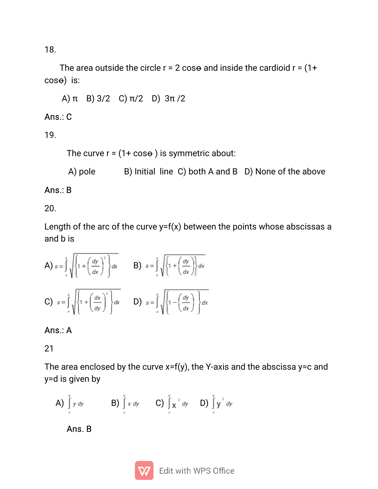18.

The area outside the circle  $r = 2 \cos\theta$  and inside the cardioid  $r = (1 +$  $\cos\theta$ ) is:

A)  $\pi$  B) 3/2 C)  $\pi/2$  D)  $3\pi/2$ 

## Ans.:  $C$

19.

The curve  $r = (1 + \cos \theta)$  is symmetric about:

A) pole B) Initial line C) both A and B D) None of the above

## Ans.:  $B$

 $20<sub>1</sub>$ 

Length of the arc of the curve  $y=f(x)$  between the points whose abscissas a and b is

$$
\textbf{A) } s = \int_{a}^{b} \sqrt{\left\{1 + \left(\frac{dy}{dx}\right)^{2}\right\} dx} \qquad \textbf{B) } s = \int_{a}^{b} \sqrt{\left\{1 + \left(\frac{dy}{dx}\right)\right\} dx}
$$
\n
$$
\textbf{C) } s = \int_{a}^{b} \sqrt{\left\{1 + \left(\frac{dy}{dy}\right)^{2}\right\} dx} \qquad \textbf{D) } s = \int_{a}^{b} \sqrt{\left\{1 - \left(\frac{dy}{dx}\right)\right\} dx}
$$

## $Ans.: A$

 $21$ 

The area enclosed by the curve  $x=f(y)$ , the Y-axis and the abscissa y=c and y=d is given by

A) 
$$
\int_{c}^{d} y \, dy
$$
 \tB)  $\int_{c}^{d} x \, dy$  \tC)  $\int_{c}^{d} \chi^{2} \, dy$  \tD)  $\int_{c}^{d} y^{2} \, dy$ 

Ans. B

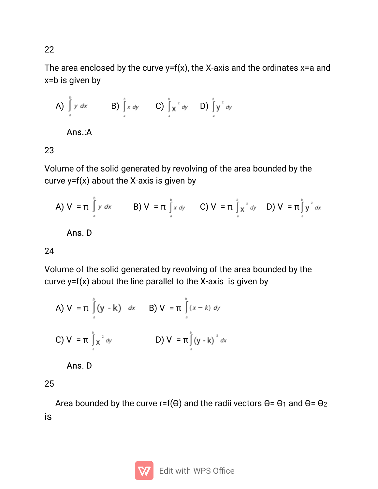The area enclosed by the curve  $y=f(x)$ , the X-axis and the ordinates  $x=a$  and x=b is given by

A) 
$$
\int_{a}^{b} y \ dx
$$
 \tB)  $\int_{a}^{b} x \ dy$  \tC)  $\int_{a}^{b} x^{2} \ dy$  \tD)  $\int_{a}^{b} y^{2} \ dy$ 

Ans.:A

23

Volume of the solid generated by revolving of the area bounded by the curve  $y=f(x)$  about the X-axis is given by

A) 
$$
V = \pi \int_{a}^{b} y \, dx
$$
   
 B)  $V = \pi \int_{a}^{b} x \, dy$    
 C)  $V = \pi \int_{a}^{b} x^{2} \, dy$    
 D)  $V = \pi \int_{a}^{b} y^{2} \, dx$ 

Ans. D

24

Volume of the solid generated by revolving of the area bounded by the curve  $y = f(x)$  about the line parallel to the X-axis is given by

A) 
$$
V = \pi \int_{a}^{b} (y - k) dx
$$
 B)  $V = \pi \int_{a}^{b} (x - k) dy$   
C)  $V = \pi \int_{a}^{b} x^{2} dy$  D)  $V = \pi \int_{a}^{b} (y - k)^{2} dx$ 

Ans. D

25

Area bounded by the curve r=f( $\theta$ ) and the radii vectors  $\theta$ =  $\theta$ 1 and  $\theta$ =  $\theta$ 2 is



22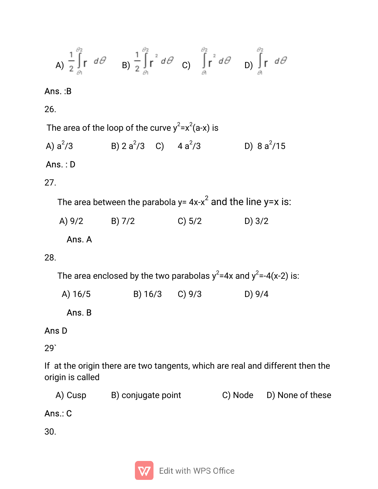$$
A) \frac{1}{2} \int_{\partial 1}^{\partial 2} r \ d\theta \qquad B) \frac{1}{2} \int_{\partial 1}^{\partial 2} r^2 \ d\theta \qquad C) \quad \int_{\partial 1}^{\partial 2} r^2 \ d\theta \qquad D) \int_{\partial 1}^{\partial 2} r \ d\theta
$$

### Ans.: B

26.

The area of the loop of the curve  $y^2 = x^2(a-x)$  is

B)  $2a^2/3$  C)  $4a^2/3$  D)  $8a^2/15$ A)  $a^2/3$ 

## Ans.:  $D$

 $27.$ 

The area between the parabola  $y = 4x-x^2$  and the line  $y=x$  is:

A)  $9/2$  $B)$  7/2  $C) 5/2$  $D)$  3/2

## Ans. A

## 28.

The area enclosed by the two parabolas  $y^2$ =4x and  $y^2$ =-4(x-2) is:

 $D)$  9/4 A)  $16/5$  $B) 16/3$  $C) 9/3$ 

Ans. B

## Ans D

 $29'$ 

If at the origin there are two tangents, which are real and different then the origin is called

B) conjugate point C) Node D) None of these A) Cusp

Ans.:  $C$ 

30.

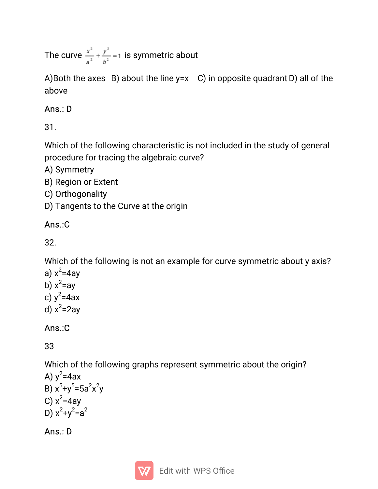The curve  $\frac{x^2}{a^2} + \frac{y^2}{b^2} = 1$  is symmetric about

A)Both the axes  $B$ ) about the line  $y=x$   $C$ ) in opposite quadrant D) all of the above

## Ans.:  $D$

 $31<sup>2</sup>$ 

Which of the following characteristic is not included in the study of general procedure for tracing the algebraic curve?

- A) Symmetry
- B) Region or Extent
- C) Orthogonality
- D) Tangents to the Curve at the origin

## Ans.:C

 $32<sub>1</sub>$ 

Which of the following is not an example for curve symmetric about y axis?

a)  $x^2$ =4ay b)  $x^2$ =ay c)  $y^2 = 4ax$ d)  $x^2$ =2ay

## $Ans.:<sub>C</sub>$

33

Which of the following graphs represent symmetric about the origin?

A)  $y^2$ =4ax B)  $x^5+y^5=5a^2x^2y$ C)  $x^2$ =4ay D)  $x^2+y^2=a^2$ 

Ans.: D

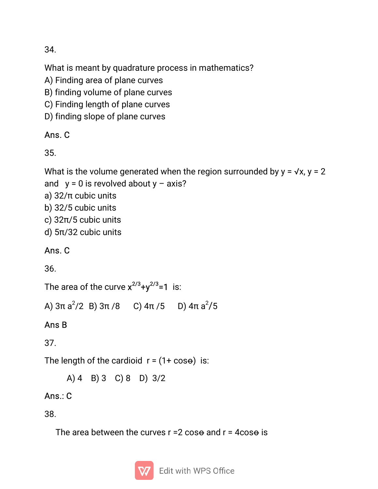34.

What is meant by quadrature process in mathematics?

- A) Finding area of plane curves
- B) finding volume of plane curves
- C) Finding length of plane curves
- D) finding slope of plane curves

## Ans. C

35.

What is the volume generated when the region surrounded by  $y = \sqrt{x}$ ,  $y = 2$ and  $y = 0$  is revolved about  $y - axis$ ? a)  $32/\pi$  cubic units

- b) 32/5 cubic units
- c)  $32\pi/5$  cubic units
- $d$ ) 5π/32 cubic units

## Ans. C

## 36.

The area of the curve  $x^{2/3}+y^{2/3}=1$  is:

A)  $3\pi a^2/2$  B)  $3\pi/8$  C)  $4\pi/5$  D)  $4\pi a^2/5$ 

## Ans B

37.

The length of the cardioid  $r = (1 + \cos \theta)$  is:

A) 4 B) 3 C) 8 D)  $3/2$ 

## Ans.:  $C$

38.

The area between the curves  $r = 2 \cos \theta$  and  $r = 4 \cos \theta$  is

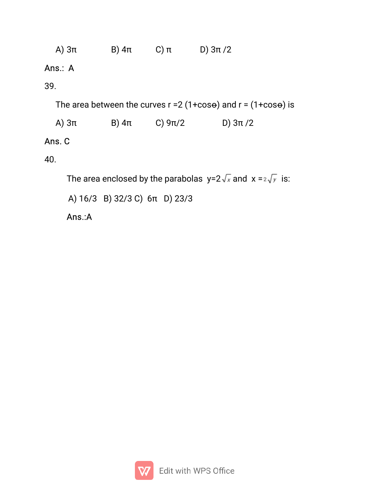| A) $3π$ | $B)$ 4 $\pi$ | $C)$ π | D) $3π / 2$ |
|---------|--------------|--------|-------------|
|         |              |        |             |

#### Ans.: A

39.

The area between the curves  $r = 2(1 + \cos\theta)$  and  $r = (1 + \cos\theta)$  is

C)  $9\pi/2$  $D)$  3π/2  $A)$   $3\pi$  $B)$  4 $\pi$ 

## Ans. C

40.

The area enclosed by the parabolas  $y=2\sqrt{x}$  and  $x=z\sqrt{y}$  is:

A) 16/3 B) 32/3 C) 6π D) 23/3

Ans.:A

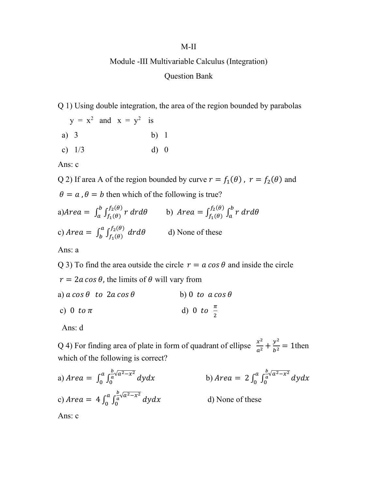#### M-II

#### Module -III Multivariable Calculus (Integration)

#### Question Bank

Q 1) Using double integration, the area of the region bounded by parabolas

 $y = x^2$  and  $x = y^2$  is a) 3 b) 1 c)  $1/3$  d) 0

Ans: c

Q 2) If area A of the region bounded by curve  $r = f_1(\theta)$ ,  $r = f_2(\theta)$  and  $\theta = \alpha$ ,  $\theta = b$  then which of the following is true?

a)Area =  $\int_a^b \int_{f_1(\theta)}^{f_2(\theta)} r dr d\theta$ b  $\int_a^b \int_{f_1(\theta)}^{f_2(\theta)} r dr d\theta$  b) Area =  $\int_{f_1(\theta)}^{f_2(\theta)} \int_a^b r dr d\theta$  $f_2(\theta)$  $f_1(\theta)$ c)  $Area = \int_b^a \int_{f_1(\theta)}^{f_2(\theta)} dr d\theta$ a  $\int_{b}^{a} \int_{f_1(\theta)}^{f_2(\theta)} dr d\theta$  d) None of these Ans: a

Q 3) To find the area outside the circle  $r = a \cos \theta$  and inside the circle

a)  $a \cos \theta$  to  $2a \cos \theta$  b) 0 to  $a \cos \theta$  $\pi$ 

c) 
$$
0 \text{ to } \pi
$$
 d)  $0 \text{ to}$ 

 $r = 2a \cos \theta$ , the limits of  $\theta$  will vary from

Ans: d

Q 4) For finding area of plate in form of quadrant of ellipse  $\frac{x^2}{a^2} + \frac{y^2}{b^2} = 1$ then which of the following is correct?

ଶ

a)  $Area = \int_0^a \int_0^{\frac{b}{a}\sqrt{a^2-x^2}} dy dx$  $\frac{b}{a}\sqrt{a^2-x^2}$ 0  $\boldsymbol{a}$ 0 b)  $Area = 2 \int_0^a \int_0^{\frac{b}{a} \sqrt{a^2 - x^2}} dy dx$  $\frac{b}{a}\sqrt{a^2-x^2}$ 0  $\boldsymbol{a}$ 0 c)  $Area = 4 \int_0^a \int_0^{\frac{b}{a} \sqrt{a^2 - x^2}} dy dx$  $\frac{b}{a}\sqrt{a^2-x^2}$ 0  $\boldsymbol{a}$ 0 d) None of these

Ans: c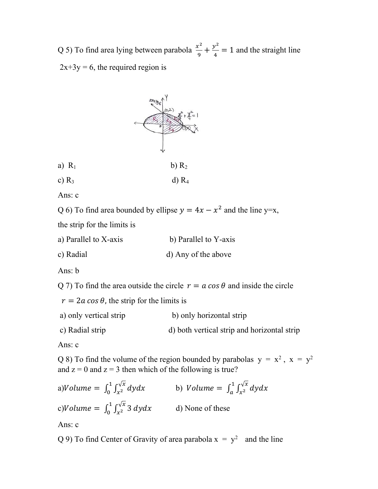Q 5) To find area lying between parabola  $\frac{x^2}{6}$  $\frac{x^2}{9} + \frac{y^2}{4}$  $\frac{v^2}{4} = 1$  and the straight line  $2x+3y = 6$ , the required region is



- a)  $R_1$  b)  $R_2$
- c)  $R_3$  d)  $R_4$

Ans: c

Q 6) To find area bounded by ellipse  $y = 4x - x^2$  and the line y=x,

the strip for the limits is

| a) Parallel to X-axis | b) Parallel to Y-axis |
|-----------------------|-----------------------|
|                       |                       |

c) Radial d) Any of the above

Ans: b

Q 7) To find the area outside the circle  $r = a \cos \theta$  and inside the circle

 $r = 2a \cos \theta$ , the strip for the limits is a) only vertical strip b) only horizontal strip c) Radial strip d) both vertical strip and horizontal strip

Ans: c

Q 8) To find the volume of the region bounded by parabolas  $y = x^2$ ,  $x = y^2$ and  $z = 0$  and  $z = 3$  then which of the following is true?

a) Volume =  $\int_0^1 \int_{x^2}^{\sqrt{x}} dy dx$  $\mathbf 1$  $\int_{0}^{1} \int_{x^{2}}^{\sqrt{x}} dy dx$  b) *Volume* =  $\int_{a}^{1} \int_{x^{2}}^{\sqrt{x}} dy dx$  $\mathbf 1$ a c) Volume =  $\int_0^1 \int_{x^2}^{\sqrt{x}} 3 \, dy dx$  $\mathbf 1$  $\int_{0}^{1} \int_{x^2}^{V \lambda} 3 \, dy dx$  d) None of these Ans: c

Q 9) To find Center of Gravity of area parabola  $x = y^2$  and the line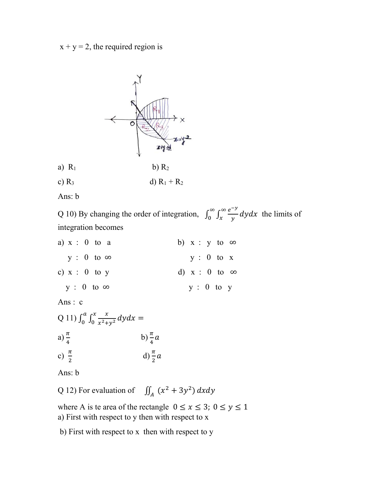$x + y = 2$ , the required region is



- a)  $R_1$  b)  $R_2$
- c)  $R_3$  d)  $R_1 + R_2$
- Ans: b

Q 10) By changing the order of integration,  $\int_0^\infty \int_x^\infty \frac{e^{-y}}{y} dy dx$ ஶ  $\int_{0}^{\infty} \int_{x}^{\infty} \frac{e^{-x}}{y} dy dx$  the limits of integration becomes

| a) $x : 0$ to a     |  |  | b) $x : y$ to $\infty$ |  |
|---------------------|--|--|------------------------|--|
| $y : 0$ to $\infty$ |  |  | $y : 0$ to $x$         |  |
| c) $x : 0$ to y     |  |  | d) $x : 0$ to $\infty$ |  |
| $y: 0$ to $\infty$  |  |  | y: 0 to y              |  |

Ans : c

Q 11)  $\int_0^a \int_0^x \frac{x}{x^2 + y^2} dy dx =$ 0 a  $\int_0^u \int_0^x \frac{x}{x^2+y^2} dy dx =$ a)  $\frac{\pi}{4}$ b)  $\frac{\pi}{4}a$ c)  $\frac{\pi}{2}$ d)  $\frac{\pi}{2}a$ 

Ans: b

Q 12) For evaluation of  $\int_A (x^2 + 3y^2) dx dy$ 

where A is te area of the rectangle  $0 \le x \le 3$ ;  $0 \le y \le 1$ a) First with respect to y then with respect to x

b) First with respect to x then with respect to y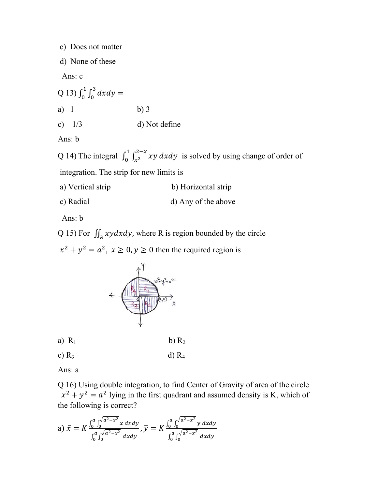c) Does not matter

d) None of these

Ans: c

Q 13) 
$$
\int_0^1 \int_0^3 dx dy =
$$
  
\na) 1  
\nb) 3  
\nc) 1/3  
\nd) Not define

Ans: b

Q 14) The integral  $\int_0^1 \int_{x^2}^{2-x} xy \, dx dy$  $\mathbf 1$  $\int_{0}^{1} \int_{x^{2}}^{2-x} xy \, dx dy$  is solved by using change of order of integration. The strip for new limits is

- a) Vertical strip b) Horizontal strip
- c) Radial d) Any of the above

Ans: b

Q 15) For  $\iint_R xydxdy$ , where R is region bounded by the circle

 $x^2 + y^2 = a^2$ ,  $x \ge 0$ ,  $y \ge 0$  then the required region is



a)  $R_1$  b)  $R_2$ 

c)  $R_3$  d)  $R_4$ 

Ans: a

Q 16) Using double integration, to find Center of Gravity of area of the circle  $x^2 + y^2 = a^2$  lying in the first quadrant and assumed density is K, which of the following is correct?

a) 
$$
\bar{x} = K \frac{\int_0^a \int_0^{\sqrt{a^2 - x^2}} x \, dx dy}{\int_0^a \int_0^{\sqrt{a^2 - x^2}} dx dy}, \bar{y} = K \frac{\int_0^a \int_0^{\sqrt{a^2 - x^2}} y \, dx dy}{\int_0^a \int_0^{\sqrt{a^2 - x^2}} dx dy}
$$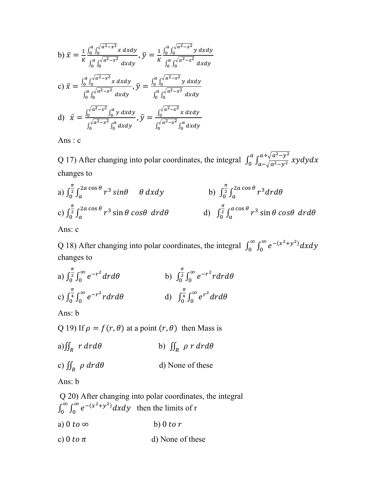b) 
$$
\bar{x} = \frac{1}{K} \frac{\int_0^a \int_0^{\sqrt{a^2 - x^2}} x \, dx dy}{\int_0^a \int_0^{\sqrt{a^2 - x^2}} dx dy}, \bar{y} = \frac{1}{K} \frac{\int_0^a \int_0^{\sqrt{a^2 - x^2}} y \, dx dy}{\int_0^a \int_0^{\sqrt{a^2 - x^2}} dx dy}
$$
  
\nc)  $\bar{x} = \frac{\int_0^a \int_0^{\sqrt{a^2 - x^2}} x \, dx dy}{\int_0^a \int_0^{\sqrt{a^2 - x^2}} y \, dx dy}$ ,  $\bar{y} = \frac{\int_0^a \int_0^{\sqrt{a^2 - x^2}} y \, dx dy}{\int_0^a \int_0^{\sqrt{a^2 - x^2}} dx dy}$   
\nd)  $\bar{x} = \frac{\int_0^{\sqrt{a^2 - x^2}} \int_0^a y \, dx dy}{\int_0^{\sqrt{a^2 - x^2}} \int_0^a dx dy}$ ,  $\bar{y} = \frac{\int_0^{\sqrt{a^2 - x^2}} x \, dx dy}{\int_0^{\sqrt{a^2 - x^2}} \int_0^a dx dy}$ 

Ans : c

Q 17) After changing into polar coordinates, the integral  $\int_0^a \int_{a-\sqrt{a^2-y^2}}^{a+\sqrt{a^2-y^2}} xy dy dx$ a  $\int_{a-\sqrt{a^2-y^2}}^{a+\sqrt{a^2-y^2}} xy dy dx$ changes to

a) 
$$
\int_0^{\frac{\pi}{2}} \int_a^{2a \cos \theta} r^3 \sin \theta \quad \theta \, dxdy
$$
  
b)  $\int_0^{\frac{\pi}{2}} \int_a^{2a \cos \theta} r^3 dr d\theta$   
c)  $\int_0^{\frac{\pi}{2}} \int_a^{2a \cos \theta} r^3 \sin \theta \cos \theta \, dr d\theta$   
d)  $\int_0^{\frac{\pi}{2}} \int_a^{a \cos \theta} r^3 \sin \theta \cos \theta \, dr d\theta$ 

Ans: c

Q 18) After changing into polar coordinates, the integral  $\int_0^\infty \int_0^\infty e^{-(x^2+y^2)} dx dy$ ஶ  $\int_0^\infty \int_0^\infty e^{-(x^2+y^2)} dx dy$ changes to

a) 
$$
\int_0^{\frac{\pi}{2}} \int_0^{\infty} e^{-r^2} dr d\theta
$$
  
\nb)  $\int_0^{\frac{\pi}{2}} \int_0^{\infty} e^{-r^2} r dr d\theta$   
\nc)  $\int_0^{\frac{\pi}{4}} \int_0^{\infty} e^{-r^2} r dr d\theta$   
\nd)  $\int_0^{\frac{\pi}{4}} \int_0^{\infty} e^{r^2} dr d\theta$ 

Ans: b

Q 19) If  $\rho = f(r, \theta)$  at a point  $(r, \theta)$  then Mass is

- a) $\iint_R r dr d\theta$ b)  $\iint_R \rho r dr d\theta$
- c)  $\iint_R \rho dr d\theta$ d) None of these

Ans: b

 Q 20) After changing into polar coordinates, the integral  $\int_0^\infty \int_0^\infty e^{-(x^2+y^2)} dx dy$ ஶ  $\int_0^{\infty} \int_0^{\infty} e^{-(x^2+y^2)} dx dy$  then the limits of r a)  $0 to \infty$  b)  $0 to r$ c) 0  $\tan \theta$  d) None of these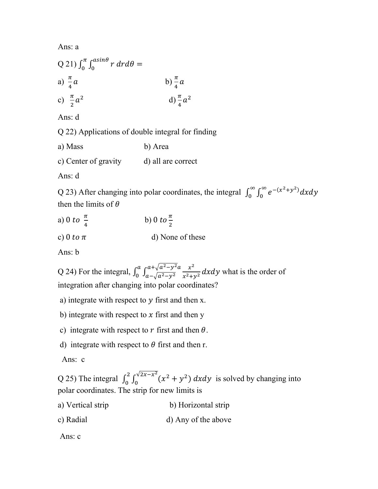Ans: a

Q 21) 
$$
\int_0^{\pi} \int_0^{a \sin \theta} r \, dr d\theta =
$$
\na)  $\frac{\pi}{4} a$   
\nb)  $\frac{\pi}{4} a$   
\nc)  $\frac{\pi}{2} a^2$   
\nd)  $\frac{\pi}{4} a^2$ 

Ans: d

Q 22) Applications of double integral for finding

a) Mass b) Area

c) Center of gravity d) all are correct

Ans: d

Q 23) After changing into polar coordinates, the integral  $\int_0^\infty \int_0^\infty e^{-(x^2+y^2)} dx dy$ ஶ  $\int_0^\infty \int_0^\infty e^{-(x^2+y^2)} dx dy$ then the limits of  $\theta$ 

- a) 0 to  $\frac{\pi}{4}$ b) 0 to  $\frac{\pi}{2}$
- c) 0  $\tan \theta$  d) None of these

Ans: b

Q 24) For the integral,  $\int_0^a \int_{a}^{a+\sqrt{a^2-y^2}a} \frac{x^2}{x^2+y^2}$  $a+\sqrt{a^2-y^2}a \frac{x^2}{x^2+y^2}dxdy$ a  $\int_{a}^{u} \int_{\sqrt{a^2-y^2}}^{u} \frac{x}{x^2+y^2} dx dy$  what is the order of integration after changing into polar coordinates?

a) integrate with respect to  $y$  first and then x.

b) integrate with respect to  $x$  first and then y

c) integrate with respect to r first and then  $\theta$ .

d) integrate with respect to  $\theta$  first and then r.

Ans: c

Q 25) The integral  $\int_0^2 \int_0^{\sqrt{2x-x^2}} (x^2 + y^2) dx dy$ ଶ  $\int_0^2 \int_0^{\sqrt{2x-x}} (x^2 + y^2) dx dy$  is solved by changing into polar coordinates. The strip for new limits is

- a) Vertical strip b) Horizontal strip
- c) Radial d) Any of the above

Ans: c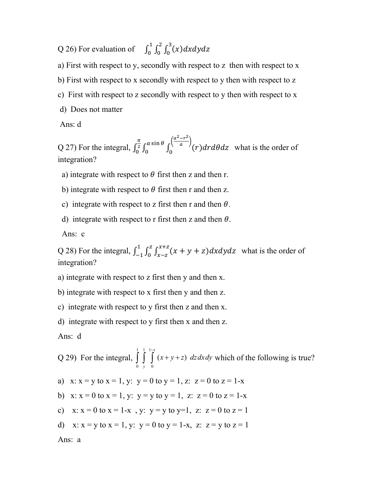Q 26) For evaluation of  $\int_0^1 \int_0^2 \int_0^3 (x) dx dy dz$ 0 ଶ 0  $\mathbf 1$ 0

a) First with respect to y, secondly with respect to z then with respect to x b) First with respect to x secondly with respect to y then with respect to z c) First with respect to z secondly with respect to y then with respect to x d) Does not matter

Ans: d

Q 27) For the integral,  $\int_0^{\frac{\pi}{2}} \int_0^{a \sin \theta} \int_0^{\frac{a^2-r^2}{a}} (r) dr d\theta dz$  $\frac{1}{a}$ 0  $a \sin \theta$ 0  $\pi$  $\int_0^2 \int_0^{\alpha} \sin^{\theta} \int_0^{\alpha}$  /(*r*)drd $\theta$ dz what is the order of integration?

- a) integrate with respect to  $\theta$  first then z and then r.
- b) integrate with respect to  $\theta$  first then r and then z.
- c) integrate with respect to z first then r and then  $\theta$ .
- d) integrate with respect to r first then z and then  $\theta$ .

Ans: c

Q 28) For the integral,  $\int_{-1}^{1} \int_{0}^{z} \int_{x-z}^{x+z} (x+y+z) dx dy dz$  $x - z$ ௭ 0  $\int_{-1}^{1} \int_{0}^{z} \int_{x-z}^{x+z} (x+y+z) dx dy dz$  what is the order of integration?

a) integrate with respect to z first then y and then x.

b) integrate with respect to x first then y and then z.

c) integrate with respect to y first then z and then x.

d) integrate with respect to y first then x and then z.

Ans: d

Q 29) For the integral,  $\int_{a}^{1} \int_{b}^{1-x} (x-y)^2 dy$  $+y+$ 1 0  $1 - 1 - \lambda$ 0  $(x+y+z)$ y x  $x + y + z$ ) dzdxdy which of the following is true?

a) x:  $x = y$  to  $x = 1$ , y:  $y = 0$  to  $y = 1$ , z:  $z = 0$  to  $z = 1-x$ 

b) x:  $x = 0$  to  $x = 1$ , y:  $y = y$  to  $y = 1$ , z:  $z = 0$  to  $z = 1-x$ 

- c)  $x: x = 0$  to  $x = 1-x$ ,  $y: y = y$  to  $y=1$ ,  $z: z = 0$  to  $z = 1$
- d)  $x: x = y$  to  $x = 1$ ,  $y: y = 0$  to  $y = 1-x$ ,  $z: z = y$  to  $z = 1$

```
Ans: a
```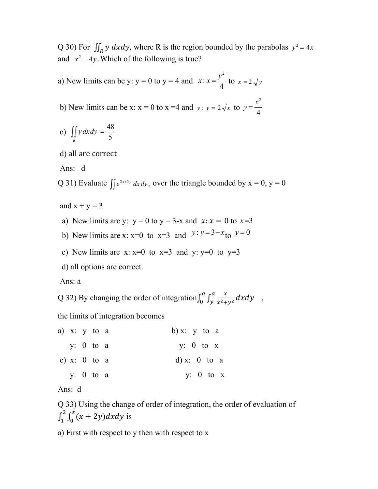Q 30) For  $\iint_R y \, dx dy$ , where R is the region bounded by the parabolas  $y^2 = 4x$ and  $x^2 = 4y$ . Which of the following is true?

a) New limits can be y:  $y = 0$  to  $y = 4$  and 4 :  $x: x = \frac{y^2}{4}$  to  $x = 2\sqrt{y}$ 

b) New limits can be x:  $x = 0$  to  $x = 4$  and  $y : y = 2\sqrt{x}$  to 4  $y = \frac{x^2}{4}$ 

- c)  $\iint_R y dx dy =$ ydxdy 5 48
- d) all are correct
- Ans: d

Q 31) Evaluate  $\iint e^{2x+3y} dx dy$ , over the triangle bounded by  $x = 0$ ,  $y = 0$ 

and  $x + y = 3$ 

- a) New limits are y:  $y = 0$  to  $y = 3-x$  and  $x: x = 0$  to  $x=3$
- b) New limits are x:  $x=0$  to  $x=3$  and  $y: y=3-x_{to}y=0$
- c) New limits are x:  $x=0$  to  $x=3$  and y:  $y=0$  to  $y=3$
- d) all options are correct.

Ans: a

Q 32) By changing the order of integration  $\int_0^a \int_y^a \frac{x}{x^2 + y^2} dx dy$  $\boldsymbol{a}$  $\int_0^u \int_y^u \frac{x}{x^2+y^2} dx dy$ ,

the limits of integration becomes

|  | a) $x: y$ to a | b) $x: y$ to a |
|--|----------------|----------------|
|  | y: 0 to a      | y: 0 to $x$    |
|  | c) x: $0$ to a | d) x: $0$ to a |
|  | y: $0$ to a    | y: 0 to $x$    |

Ans: d

Q 33) Using the change of order of integration, the order of evaluation of  $\int_{1}^{2} \int_{0}^{x} (x + 2y) dx dy$ ଶ  $\int_{1}^{2} \int_{0}^{x} (x + 2y) dx dy$  is

a) First with respect to y then with respect to x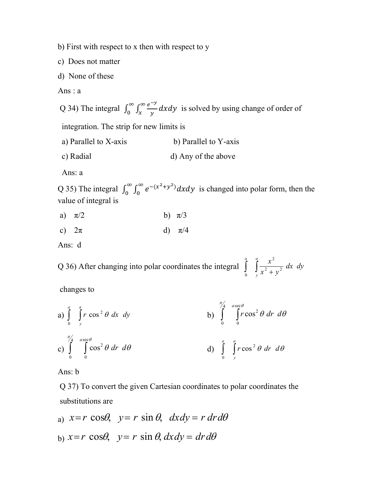b) First with respect to x then with respect to y

c) Does not matter

- d) None of these
- Ans : a

Q 34) The integral  $\int_0^\infty \int_x^\infty \frac{e^{-y}}{y} dxdy$ ஶ  $\int_{0}^{\infty} \int_{x}^{\infty} \frac{e^{-x}}{y} dxdy$  is solved by using change of order of

integration. The strip for new limits is

- a) Parallel to  $X$ -axis b) Parallel to  $Y$ -axis
- c) Radial d) Any of the above

Ans: a

Q 35) The integral  $\int_0^\infty \int_0^\infty e^{-(x^2+y^2)} dx dy$ ஶ  $\int_0^{\infty} \int_0^{\infty} e^{-(x^2+y^2)} dx dy$  is changed into polar form, then the value of integral is

- a)  $\pi/2$  b)  $\pi/3$
- c)  $2\pi$  d)  $\pi/4$

Ans: d

Q 36) After changing into polar coordinates the integral  $\int_{0}^{a} \int_{x}^{a} \frac{x^2}{x^2 + 1}$ y dx dy  $x^2 + y^2$ x 0  $2^{1}$   $2^{1}$ 2

 $\overline{1}$ 

changes to

a) 
$$
\int_{0}^{a} \int_{y}^{a} r \cos^{2} \theta \, dx \, dy
$$
  
b)  $\int_{0}^{\frac{\pi}{4}} \int_{0}^{\operatorname{arcc}\theta} r \cos^{2} \theta \, dr \, d\theta$   
c)  $\int_{0}^{\frac{\pi}{4}} \int_{0}^{\operatorname{arcc}\theta} \cos^{2} \theta \, dr \, d\theta$   
d)  $\int_{0}^{a} \int_{y}^{a} r \cos^{2} \theta \, dr \, d\theta$ 

Ans: b

Q 37) To convert the given Cartesian coordinates to polar coordinates the substitutions are

a) 
$$
x=r \cos\theta
$$
,  $y=r \sin \theta$ ,  $dx dy = r dr d\theta$   
b)  $x=r \cos\theta$ ,  $y=r \sin \theta$ ,  $dx dy = dr d\theta$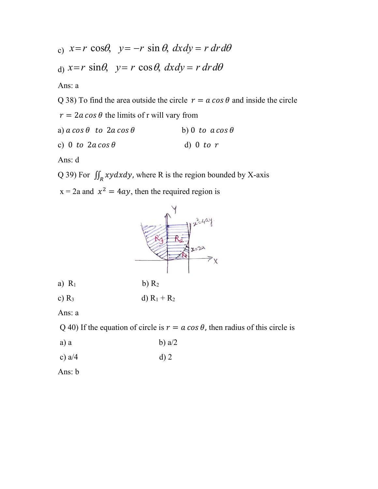c) 
$$
x=r \cos\theta
$$
,  $y=-r \sin\theta$ ,  $dx dy = r dr d\theta$   
d)  $x=r \sin\theta$ ,  $y=r \cos\theta$ ,  $dx dy = r dr d\theta$ 

#### Ans: a

Q 38) To find the area outside the circle  $r = a \cos \theta$  and inside the circle

- $r = 2a \cos \theta$  the limits of r will vary from
- a)  $a \cos \theta$  to  $2a \cos \theta$  b) 0 to  $a \cos \theta$
- c) 0 to  $2a \cos \theta$  d) 0 to r

Ans: d

Q 39) For  $\iint_R xydxdy$ , where R is the region bounded by X-axis

 $x = 2a$  and  $x^2 = 4ay$ , then the required region is



- a)  $R_1$  b)  $R_2$
- c)  $R_3$  d)  $R_1 + R_2$

Ans: a

Q 40) If the equation of circle is  $r = a \cos \theta$ , then radius of this circle is

- a) a b)  $a/2$
- c)  $a/4$  d) 2

Ans: b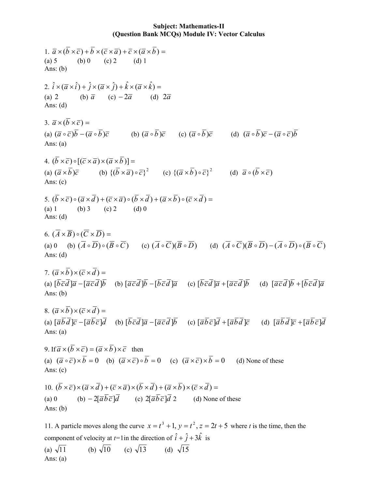#### Subject: Mathematics-II (Question Bank MCQs) Module IV: Vector Calculus

1.  $\overline{a} \times (\overline{b} \times \overline{c}) + \overline{b} \times (\overline{c} \times \overline{a}) + \overline{c} \times (\overline{a} \times \overline{b}) =$ (a) 5 (b) 0 (c) 2 (d) 1 Ans:  $(b)$ 2.  $\hat{i} \times (\overline{a} \times \hat{i}) + \hat{j} \times (\overline{a} \times \hat{j}) + \hat{k} \times (\overline{a} \times \hat{k}) =$ (a) 2 (b)  $\overline{a}$  (c)  $-2\overline{a}$  (d)  $2\overline{a}$ Ans:  $(d)$ 3.  $\overline{a} \times (\overline{b} \times \overline{c}) =$ (a)  $(\overline{a} \circ \overline{c})\overline{b} - (\overline{a} \circ \overline{b})\overline{c}$  (b)  $(\overline{a} \circ \overline{b})\overline{c}$  (c)  $(\overline{a} \circ \overline{b})\overline{c}$  (d)  $(\overline{a} \circ \overline{b})\overline{c} - (\overline{a} \circ \overline{c})\overline{b}$ Ans:  $(a)$ 4.  $(\overline{b} \times \overline{c}) \circ [(\overline{c} \times \overline{a}) \times (\overline{a} \times \overline{b})] =$ (a)  $(\overline{a} \times \overline{b})\overline{c}$  (b)  $\{(\overline{b} \times \overline{a}) \circ \overline{c}\}^2$  (c)  $\{(\overline{a} \times \overline{b}) \circ \overline{c}\}^2$  (d)  $\overline{a} \circ (\overline{b} \times \overline{c})$ Ans:  $(c)$ 5.  $(\overline{b} \times \overline{c}) \circ (\overline{a} \times \overline{d}) + (\overline{c} \times \overline{a}) \circ (\overline{b} \times \overline{d}) + (\overline{a} \times \overline{b}) \circ (\overline{c} \times \overline{d}) =$ (a) 1 (b) 3 (c) 2 (d) 0 Ans:  $(d)$ 6.  $(\overline{A} \times \overline{B}) \circ (\overline{C} \times \overline{D}) =$ (a) 0 (b)  $(\overline{A} \circ \overline{D}) \circ (\overline{B} \circ \overline{C})$  (c)  $(\overline{A} \circ \overline{C})(\overline{B} \circ \overline{D})$  (d)  $(\overline{A} \circ \overline{C})(\overline{B} \circ \overline{D}) - (\overline{A} \circ \overline{D}) \circ (\overline{B} \circ \overline{C})$ Ans:  $(d)$ 7.  $(\overline{a} \times \overline{b}) \times (\overline{c} \times \overline{d}) =$ (a)  $\overline{b}\overline{c}\overline{d}$   $\overline{a}$   $\overline{a}$   $\overline{c}\overline{d}$   $\overline{b}$  (b)  $\overline{a}\overline{c}\overline{d}$   $\overline{b}$   $\overline{b}$   $\overline{c}\overline{d}$   $\overline{a}$  (c)  $\overline{b}\overline{c}\overline{d}$   $\overline{a}$   $\overline{d}$   $\overline{d}$   $\overline{b}$  (d)  $\overline{a}\overline{c}\overline{d}$   $\overline{b}$   $\$ Ans: (b) 8.  $(\overline{a} \times \overline{b}) \times (\overline{c} \times \overline{d}) =$ (a)  $\overline{a}\overline{b}\overline{d}$   $\overline{b}$   $\overline{c}$   $\overline{d}$   $\overline{d}$  (b)  $\overline{b}\overline{c}\overline{d}$   $\overline{a}$   $\overline{d}$   $\overline{d}$   $\overline{d}$  (c)  $\overline{a}\overline{b}\overline{c}$   $\overline{d}$   $\overline{d}$   $\overline{d}$   $\overline{d}$   $\overline{d}$   $\overline{c}$  (d)  $\overline{a}\overline{b}\overline{d}$   $\over$ Ans: (a) 9. If  $\overline{a} \times (\overline{b} \times \overline{c}) = (\overline{a} \times \overline{b}) \times \overline{c}$  then (a)  $(\overline{a} \circ \overline{c}) \times \overline{b} = 0$  (b)  $(\overline{a} \times \overline{c}) \circ \overline{b} = 0$  (c)  $(\overline{a} \times \overline{c}) \times \overline{b} = 0$  (d) None of these Ans: (c) 10.  $(\overline{b} \times \overline{c}) \times (\overline{a} \times \overline{d}) + (\overline{c} \times \overline{a}) \times (\overline{b} \times \overline{d}) + (\overline{a} \times \overline{b}) \times (\overline{c} \times \overline{d}) =$ (a) 0 (b)  $-2[\overline{a}\overline{b}\overline{c}]\overline{d}$  (c)  $2[\overline{a}\overline{b}\overline{c}]\overline{d}$  2 (d) None of these Ans: (b) 11. A particle moves along the curve  $x = t^3 + 1$ ,  $y = t^2$ ,  $z = 2t + 5$  where t is the time, then the component of velocity at *t*=1 in the direction of  $\hat{i} + \hat{j} + 3\hat{k}$  is

(a)  $\sqrt{11}$  (b)  $\sqrt{10}$  (c)  $\sqrt{13}$  (d)  $\sqrt{15}$ Ans: (a)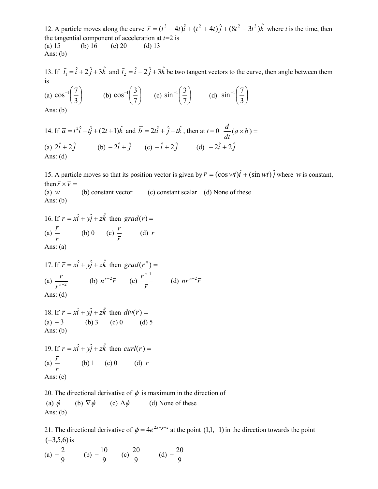12. A particle moves along the curve  $\overline{r} = (t^3 - 4t)\hat{i} + (t^2 + 4t)\hat{j} + (8t^2 - 3t^3)\hat{k}$  where t is the time, then the tangential component of acceleration at  $t=2$  is (a) 15 (b) 16 (c) 20 (d) 13 Ans: (b)

13. If  $\bar{t}_1 = \hat{i} + 2\hat{j} + 3\hat{k}$  and  $\bar{t}_2 = \hat{i} - 2\hat{j} + 3\hat{k}$  be two tangent vectors to the curve, then angle between them is

(a) 
$$
\cos^{-1}\left(\frac{7}{3}\right)
$$
 (b)  $\cos^{-1}\left(\frac{3}{7}\right)$  (c)  $\sin^{-1}\left(\frac{3}{7}\right)$  (d)  $\sin^{-1}\left(\frac{7}{3}\right)$   
Ans: (b)

14. If  $\overline{a} = t^2 \hat{i} - t \hat{j} + (2t+1)\hat{k}$  and  $\overline{b} = 2t \hat{i} + \hat{j} - t \hat{k}$ , then at  $t = 0$   $\frac{d}{d\theta} (\overline{a} \times \overline{b}) =$ dt d (a)  $2\hat{i} + 2\hat{j}$  (b)  $-2\hat{i} + \hat{j}$  (c)  $-\hat{i} + 2\hat{j}$  (d)  $-2\hat{i} + 2\hat{j}$ Ans: (d)

15. A particle moves so that its position vector is given by  $\bar{r} = (\cos wt)\hat{i} + (\sin wt)\hat{j}$  where w is constant, then  $\bar{r} \times \bar{v} =$ 

(a)  $w$  (b) constant vector (c) constant scalar (d) None of these Ans: (b)

16. If 
$$
\overline{r} = x\hat{i} + y\hat{j} + z\hat{k}
$$
 then  $grad(r) =$   
\n(a)  $\frac{\overline{r}}{r}$  (b) 0 (c)  $\frac{r}{\overline{r}}$  (d) r  
\nAns: (a)

17. If 
$$
\overline{r} = x\hat{i} + y\hat{j} + z\hat{k}
$$
 then  $grad(r^n) =$   
\n(a)  $\frac{\overline{r}}{r^{n-2}}$  (b)  $n^{r-2}\overline{r}$  (c)  $\frac{r^{n-1}}{\overline{r}}$  (d)  $nr^{n-2}\overline{r}$   
\nAns: (d)

18. If 
$$
\vec{r} = x\hat{i} + y\hat{j} + z\hat{k}
$$
 then  $div(\vec{r}) =$   
\n(a) -3 (b) 3 (c) 0 (d) 5  
\nAns: (b)

19. If 
$$
\overline{r} = x\hat{i} + y\hat{j} + z\hat{k}
$$
 then  $\operatorname{curl}(\overline{r}) =$   
\n(a)  $\frac{\overline{r}}{r}$  (b) 1 (c) 0 (d) r  
\nAns: (c)

20. The directional derivative of  $\phi$  is maximum in the direction of

(a)  $\phi$  (b)  $\nabla \phi$  (c)  $\Delta \phi$  (d) None of these Ans:  $(b)$ 

21. The directional derivative of  $\phi = 4e^{2x-y+z}$  at the point  $(1,1,-1)$  in the direction towards the point  $(-3,5,6)$  is

(a) 
$$
-\frac{2}{9}
$$
 (b)  $-\frac{10}{9}$  (c)  $\frac{20}{9}$  (d)  $-\frac{20}{9}$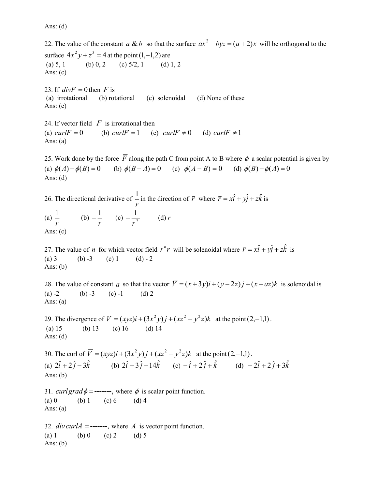Ans:  $(d)$ 

22. The value of the constant  $a \& b$  so that the surface  $ax^2 - byz = (a+2)x$  will be orthogonal to the surface  $4x^2y + z^3 = 4$  at the point  $(1,-1,2)$  are (a)  $5, 1$  (b)  $0, 2$  (c)  $5/2, 1$  (d)  $1, 2$ Ans:  $(c)$ 

23. If  $div\overline{F} = 0$  then  $\overline{F}$  is (a) irrotational (b) rotational (c) solenoidal (d) None of these Ans:  $(c)$ 

24. If vector field  $\overline{F}$  is irrotational then (a)  $curl \overline{F} = 0$  (b)  $curl \overline{F} = 1$  (c)  $curl \overline{F} \neq 0$  (d)  $curl \overline{F} \neq 1$ Ans:  $(a)$ 

25. Work done by the force  $\overline{F}$  along the path C from point A to B where  $\phi$  a scalar potential is given by (a)  $\phi(A) - \phi(B) = 0$  (b)  $\phi(B - A) = 0$  (c)  $\phi(A - B) = 0$  (d)  $\phi(B) - \phi(A) = 0$ Ans:  $(d)$ 

26. The directional derivative of r  $\frac{1}{\sqrt{1}}$  in the direction of  $\bar{r}$  where  $\bar{r} = x\hat{i} + y\hat{j} + z\hat{k}$  is (a) r  $\frac{1}{2}$  (b) r  $-\frac{1}{r}$  (c)  $-\frac{1}{r^2}$ r  $-\frac{1}{2}$  (d) r Ans:  $(c)$ 

27. The value of *n* for which vector field  $r^n \overline{r}$  will be solenoidal where  $\overline{r} = x\hat{i} + y\hat{j} + z\hat{k}$  is (a) 3 (b) -3 (c) 1 (d) - 2 Ans:  $(b)$ 

28. The value of constant a so that the vector  $\overline{V} = (x+3y)i + (y-2z)j + (x + az)k$  is solenoidal is (a)  $-2$  (b)  $-3$  (c)  $-1$  (d) 2 Ans: (a)

29. The divergence of  $\overline{V} = (xyz)i + (3x^2y)j + (xz^2 - y^2z)k$  at the point (2,-1,1). (a) 15 (b) 13 (c) 16 (d) 14 Ans:  $(d)$ 

30. The curl of  $\overline{V} = (xyz)i + (3x^2y)j + (xz^2 - y^2z)k$  at the point (2,-1,1). (a)  $2\hat{i} + 2\hat{j} - 3\hat{k}$  (b)  $2\hat{i} - 3\hat{j} - 14\hat{k}$  (c)  $-\hat{i} + 2\hat{j} + \hat{k}$  (d)  $-2\hat{i} + 2\hat{j} + 3\hat{k}$ Ans:  $(b)$ 

31. curl grad  $\phi$  = ------, where  $\phi$  is scalar point function. (a) 0 (b) 1 (c) 6 (d) 4 Ans:  $(a)$ 

32.  $div \, \text{curl} \overline{A}$  =------, where  $\overline{A}$  is vector point function. (a) 1 (b) 0 (c) 2 (d) 5 Ans:  $(b)$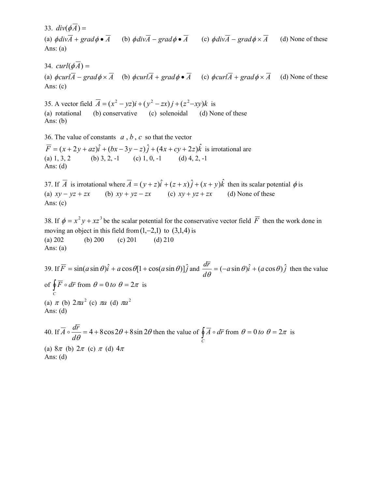33.  $div(\vec{\phi A}) =$ (a)  $\phi \overline{divA} + \overline{grad} \phi \bullet \overline{A}$  (b)  $\phi \overline{divA} - \overline{grad} \phi \bullet \overline{A}$  (c)  $\phi \overline{divA} - \overline{grad} \phi \times \overline{A}$  (d) None of these Ans:  $(a)$ 

34.  $curl(\phi \overline{A}) =$ (a)  $\phi \text{curl} \overline{A} - \text{grad} \phi \times \overline{A}$  (b)  $\phi \text{curl} \overline{A} + \text{grad} \phi \bullet \overline{A}$  (c)  $\phi \text{curl} \overline{A} + \text{grad} \phi \times \overline{A}$  (d) None of these Ans:  $(c)$ 

35. A vector field  $\overline{A} = (x^2 - yz)i + (y^2 - zx)j + (z^2 - xy)k$  is (a) rotational (b) conservative (c) solenoidal (d) None of these Ans:  $(b)$ 

36. The value of constants  $a, b, c$  so that the vector  $\overline{F} = (x+2y+az)\hat{i} + (bx-3y-z)\hat{j} + (4x+cy+2z)\hat{k}$  is irrotational are (a) 1, 3, 2 (b) 3, 2, -1 (c) 1, 0, -1 (d) 4, 2, -1 Ans:  $(d)$ 

37. If  $\overline{A}$  is irrotational where  $\overline{A} = (y + z)\hat{i} + (z + x)\hat{j} + (x + y)\hat{k}$  then its scalar potential  $\phi$  is (a)  $xy - yz + zx$  (b)  $xy + yz - zx$  (c)  $xy + yz + zx$  (d) None of these Ans:  $(c)$ 

38. If  $\phi = x^2 y + xz^3$  be the scalar potential for the conservative vector field  $\overline{F}$  then the work done in moving an object in this field from  $(1,-2,1)$  to  $(3,1,4)$  is (a) 202 (b) 200 (c) 201 (d) 210 Ans: (a)

39. If  $\overline{F} = \sin(a \sin \theta) \hat{i} + a \cos \theta [1 + \cos(a \sin \theta)] \hat{j}$  and  $\frac{dr}{ds} = (-a \sin \theta) \hat{i} + (a \cos \theta) \hat{j}$  $\overline{d}$  $\frac{d\vec{r}}{d\theta} = (-a\sin\theta)\hat{i} + (a\cos\theta)\hat{j}$  then the value of  $\oint_C$  $\overline{F} \circ d\overline{r}$  from  $\theta = 0$  to  $\theta = 2\pi$  is (a)  $\pi$  (b)  $2\pi a^2$  (c)  $\pi a$  (d)  $\pi a^2$ Ans:  $(d)$ 40. If  $A \circ \frac{dr}{d\theta} = 4 + 8\cos 2\theta + 8\sin 2\theta$  $\overline{d}$  $\overline{A} \circ \frac{d\overline{r}}{d\theta} = 4 + 8\cos 2\theta + 8\sin 2\theta$  then the value of  $\oint \overline{A} \circ d\overline{r}$  from  $\theta = 0$  to  $\theta = 2\pi$  is  $\,$ (a)  $8\pi$  (b)  $2\pi$  (c)  $\pi$  (d)  $4\pi$ 

Ans:  $(d)$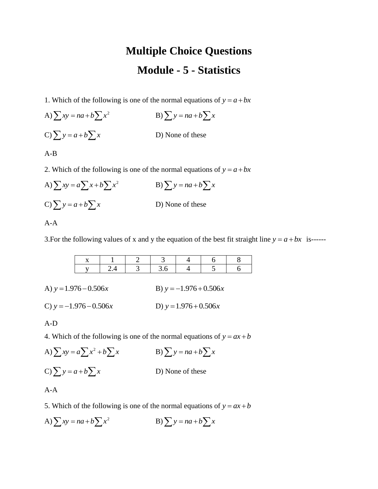# **Multiple Choice Questions Module - 5 - Statistics**

- 1. Which of the following is one of the normal equations of  $y = a + bx$
- A)  $\sum xy = na + b \sum x^2$ B)  $\sum y = na + b \sum x$  $C) \sum y = a + b \sum x$ D) None of these

A-B

- 2. Which of the following is one of the normal equations of  $y = a + bx$
- A)  $\sum xy = a \sum x + b \sum x^2$  <br>B)  $\sum y = na + b \sum x$  $C) \sum y = a + b \sum x$ D) None of these

#### A-A

3. For the following values of x and y the equation of the best fit straight line  $y = a + bx$  is------

|                          | X |     |     |                          |  |
|--------------------------|---|-----|-----|--------------------------|--|
|                          |   | 2.4 | 3.6 |                          |  |
|                          |   |     |     |                          |  |
| A) $y = 1.976 - 0.506x$  |   |     |     | B) $y = -1.976 + 0.506x$ |  |
| C) $y = -1.976 - 0.506x$ |   |     |     | D) $y = 1.976 + 0.506x$  |  |

A-D

4. Which of the following is one of the normal equations of  $y = ax + b$ 

A) *xy <sup>a</sup><sup>x</sup> <sup>b</sup><sup>x</sup>* 2 B) *<sup>y</sup> na b<sup>x</sup>*  $C) \sum y = a + b \sum x$ D) None of these

A-A

5. Which of the following is one of the normal equations of  $y = ax + b$ 

A) 
$$
\sum xy = na + b \sum x^2
$$
 \t\t B)  $\sum y = na + b \sum x$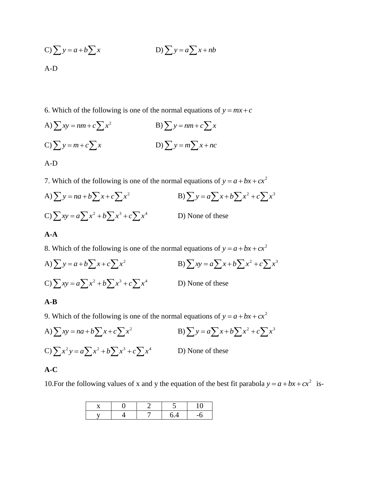C) 
$$
\sum y = a + b \sum x
$$
  
D)  $\sum y = a \sum x + nb$   
A-D

6. Which of the following is one of the normal equations of  $y = mx + c$ 

A)  $\sum xy = nm + c \sum x^2$ B)  $\sum y = nm + c \sum x$  $C)$   $\sum y = m + c \sum x$ D)  $\sum y = m \sum x + nc$ 

A-D

7. Which of the following is one of the normal equations of  $y = a + bx + cx^2$ 

A) 
$$
\sum y = na + b \sum x + c \sum x^2
$$
  
\nB)  $\sum y = a \sum x + b \sum x^2 + c \sum x^3$   
\nC)  $\sum xy = a \sum x^2 + b \sum x^3 + c \sum x^4$   
\nD) None of these

#### **A-A**

8. Which of the following is one of the normal equations of  $y = a + bx + cx^2$ 

A)  $\sum y = a + b \sum x + c \sum x^2$ B)  $\sum xy = a \sum x + b \sum x^2 + c \sum x^3$ C)  $\sum xy = a \sum x^2 + b \sum x^3 + c \sum x^4$  D) None of these

#### **A-B**

9. Which of the following is one of the normal equations of  $y = a + bx + cx^2$ 

A) 
$$
\sum xy = na + b \sum x + c \sum x^2
$$
  
\nB)  $\sum y = a \sum x + b \sum x^2 + c \sum x^3$   
\nC)  $\sum x^2 y = a \sum x^2 + b \sum x^3 + c \sum x^4$   
\nD) None of these

#### **A-C**

10. For the following values of x and y the equation of the best fit parabola  $y = a + bx + cx^2$  is-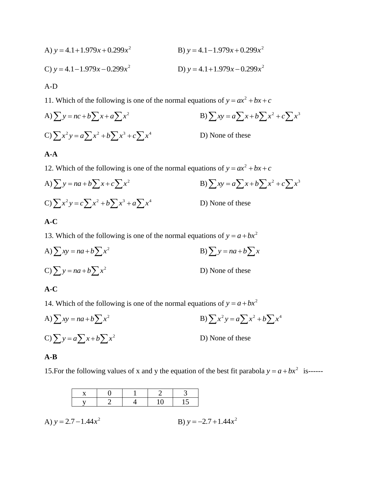A) 
$$
y = 4.1 + 1.979x + 0.299x^2
$$
  
\nB)  $y = 4.1 - 1.979x + 0.299x^2$   
\nC)  $y = 4.1 - 1.979x - 0.299x^2$   
\nD)  $y = 4.1 + 1.979x - 0.299x^2$ 

#### A-D

11. Which of the following is one of the normal equations of  $y = ax^2 + bx + c$ 

A) 
$$
\sum y = nc + b \sum x + a \sum x^2
$$
  
\nB)  $\sum xy = a \sum x + b \sum x^2 + c \sum x^3$   
\nC)  $\sum x^2 y = a \sum x^2 + b \sum x^3 + c \sum x^4$   
\nD) None of these

#### **A-A**

12. Which of the following is one of the normal equations of  $y = ax^2 + bx + c$ 

A) 
$$
\sum y = na + b \sum x + c \sum x^2
$$
  
\nB)  $\sum xy = a \sum x + b \sum x^2 + c \sum x^3$   
\nC)  $\sum x^2 y = c \sum x^2 + b \sum x^3 + a \sum x^4$   
\nD) None of these

#### **A-C**

13. Which of the following is one of the normal equations of  $y = a + bx^2$ 

A)  $\sum xy = na + b \sum x^2$ B)  $\sum y = na + b \sum x$  $C)$   $\sum y = na + b \sum x^2$ D) None of these

#### **A-C**

14. Which of the following is one of the normal equations of  $y = a + bx^2$ 

A)  $\sum xy = na + b \sum x^2$ B)  $\sum x^2 y = a \sum x^2 + b \sum x^4$  $C) \sum y = a \sum x + b \sum x^2$ D) None of these

#### **A-B**

15. For the following values of x and y the equation of the best fit parabola  $y = a + bx^2$  is------

|  | $\left( \right)$ |  |
|--|------------------|--|

A) 
$$
y = 2.7 - 1.44x^2
$$
  
B)  $y = -2.7 + 1.44x^2$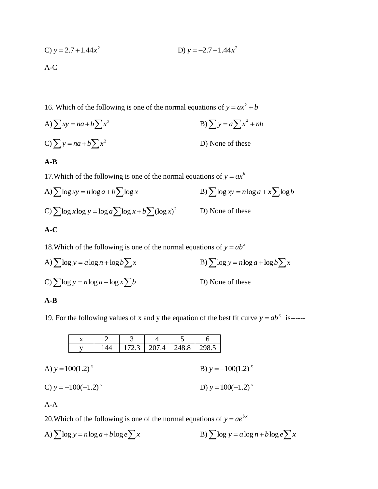C) 
$$
y = 2.7 + 1.44x^2
$$
  
D)  $y = -2.7 - 1.44x^2$   
A-C

16. Which of the following is one of the normal equations of  $y = ax^2 + b$ 

A)  $\sum xy = na + b \sum x^2$ B)  $\sum y = a \sum x^2 + nb$  $C)$   $\sum y = na + b \sum x^2$ D) None of these

#### **A-B**

17. Which of the following is one of the normal equations of  $y = ax^b$ A)  $\sum \log xy = n \log a + b \sum \log x$ B)  $\sum \log xy = n \log a + x \sum \log b$ C)  $\sum \log x \log y = \log a \sum \log x + b \sum (\log x)^2$ D) None of these

#### **A-C**

18. Which of the following is one of the normal equations of  $y = ab^x$ 

A) 
$$
\sum \log y = a \log n + \log b \sum x
$$
  
B)  $\sum \log y = n \log a + \log b \sum x$   
C)  $\sum \log y = n \log a + \log x \sum b$   
D) None of these

#### **A-B**

19. For the following values of x and y the equation of the best fit curve  $y = ab^x$  is------

|                                                 | X |     |       |       |       |       |                        |
|-------------------------------------------------|---|-----|-------|-------|-------|-------|------------------------|
|                                                 |   | 144 | 172.3 | 207.4 | 248.8 | 298.5 |                        |
|                                                 |   |     |       |       |       |       |                        |
| A) $y = 100(1.2)^{x}$<br>B) $y = -100(1.2)^{x}$ |   |     |       |       |       |       |                        |
| C) $y = -100(-1.2)^{x}$                         |   |     |       |       |       |       | D) $y = 100(-1.2)^{x}$ |

#### A-A

20. Which of the following is one of the normal equations of  $y = ae^{bx}$ 

A) 
$$
\sum \log y = n \log a + b \log e \sum x
$$
  
B)  $\sum \log y = a \log n + b \log e \sum x$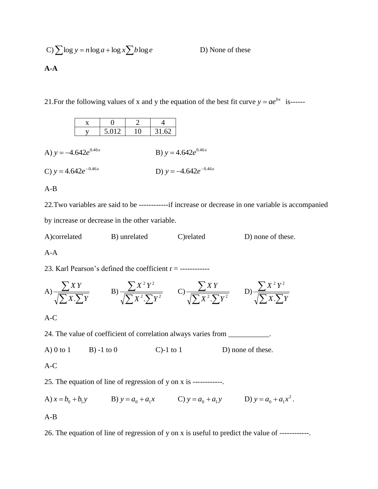C) 
$$
\sum \log y = n \log a + \log x \sum b \log e
$$
 D) None of these  
A-A

21. For the following values of x and y the equation of the best fit curve  $y = ae^{bx}$  is------

|                          | X |       |    |                                 |                           |
|--------------------------|---|-------|----|---------------------------------|---------------------------|
|                          |   | 5.012 | 10 | 31.62                           |                           |
| A) $y = -4.642e^{0.46x}$ |   |       |    | <b>B</b> ) $y = 4.642e^{0.46x}$ |                           |
| C) $y = 4.642e^{-0.46x}$ |   |       |    |                                 | D) $y = -4.642e^{-0.46x}$ |

A-B

22.Two variables are said to be ------------if increase or decrease in one variable is accompanied by increase or decrease in the other variable.

A)correlated B) unrelated C)related D) none of these.

A-A

23. Karl Pearson's defined the coefficient  $r =$  -------------

A) 
$$
\frac{\sum XY}{\sqrt{\sum X \cdot \sum Y}}
$$
 B)  $\frac{\sum X^2 Y^2}{\sqrt{\sum X^2 \cdot \sum Y^2}}$  C)  $\frac{\sum XY}{\sqrt{\sum X^2 \cdot \sum Y^2}}$  D)  $\frac{\sum X^2 Y^2}{\sqrt{\sum X \cdot \sum Y}}$ 

A-C

24. The value of coefficient of correlation always varies from \_\_\_\_\_\_\_\_\_\_\_.

A) 0 to 1 B) -1 to 0 C)-1 to 1 D) none of these.

$$
A\negthinspace\negthinspace\negthinspace C
$$

25. The equation of line of regression of y on x is ------------.

A)  $x = b_0 + b_1 y$  B)  $y = a_0 + a_1 x$  C)  $y = a_0 + a_1 y$  D)  $y = a_0 + a_1 x^2$  $y = a_0 + a_1 x^2$ .

A-B

26. The equation of line of regression of y on x is useful to predict the value of ------------.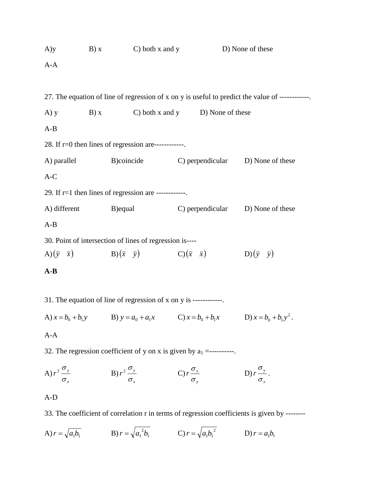| $A$ )y |                                                                   | B) x C) both x and y D) None of these                                      |                                                                                                 |
|--------|-------------------------------------------------------------------|----------------------------------------------------------------------------|-------------------------------------------------------------------------------------------------|
| $A-A$  |                                                                   |                                                                            |                                                                                                 |
|        |                                                                   |                                                                            |                                                                                                 |
|        |                                                                   |                                                                            | 27. The equation of line of regression of x on y is useful to predict the value of ------------ |
| A) y   |                                                                   | B) x C) both x and y D) None of these                                      |                                                                                                 |
| $A-B$  |                                                                   |                                                                            |                                                                                                 |
|        | 28. If r=0 then lines of regression are------------               |                                                                            |                                                                                                 |
|        |                                                                   | A) parallel B)coincide C) perpendicular D) None of these                   |                                                                                                 |
| $A-C$  |                                                                   |                                                                            |                                                                                                 |
|        | 29. If $r=1$ then lines of regression are ------------.           |                                                                            |                                                                                                 |
|        |                                                                   | A) different B) equal C) perpendicular                                     | D) None of these                                                                                |
| $A-B$  |                                                                   |                                                                            |                                                                                                 |
|        | 30. Point of intersection of lines of regression is----           |                                                                            |                                                                                                 |
|        |                                                                   | A) $(\bar{y} \ \bar{x})$ B) $(\bar{x} \ \bar{y})$ C) $(\bar{x} \ \bar{x})$ | $D(\bar{y} \quad \bar{y})$                                                                      |
| $A-B$  |                                                                   |                                                                            |                                                                                                 |
|        |                                                                   |                                                                            |                                                                                                 |
|        | 31. The equation of line of regression of x on y is ------------. |                                                                            |                                                                                                 |

A)  $x = b_0 + b_1 y$  B)  $y = a_0 + a_1 x$  C)  $x = b_0 + b_1 x$  D)  $x = b_0 + b_1 y^2$  $x = b_0 + b_1 y^2$ .

A-A

32. The regression coefficient of y on x is given by  $a_1 =$ ----------.

A) 
$$
r^2 \frac{\sigma_y}{\sigma_x}
$$
 \t\t B)  $r^2 \frac{\sigma_y}{\sigma_x}$  \t\t C)  $r \frac{\sigma_x}{\sigma_y}$  \t\t D)  $r \frac{\sigma_y}{\sigma_x}$ .

A-D

33. The coefficient of correlation r in terms of regression coefficients is given by --------

A) 
$$
r = \sqrt{a_1 b_1}
$$
 \t B)  $r = \sqrt{a_1^2 b_1}$  \t C)  $r = \sqrt{a_1 b_1^2}$  \t D)  $r = a_1 b_1$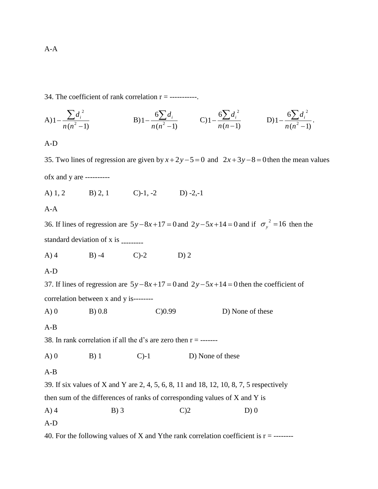34. The coefficient of rank correlation  $r =$  -----------

A) 
$$
1 - \frac{\sum d_i^2}{n(n^2 - 1)}
$$
 \t B)  $1 - \frac{6\sum d_i}{n(n^2 - 1)}$  \t C)  $1 - \frac{6\sum d_i^2}{n(n - 1)}$  \t D)  $1 - \frac{6\sum d_i^2}{n(n^2 - 1)}$ 

A-D

35. Two lines of regression are given by  $x + 2y - 5 = 0$  and  $2x + 3y - 8 = 0$  then the mean values ofx and y are ----------

A) 1, 2 B) 2, 1 C)-1, -2 D) -2,-1

```
A-A
```
36. If lines of regression are  $5y - 8x + 17 = 0$  and  $2y - 5x + 14 = 0$  and if  $\sigma_y^2 = 16$  then the standard deviation of x is --------- A) 4 B) -4 C)-2 D) 2 A-D 37. If lines of regression are  $5y - 8x + 17 = 0$  and  $2y - 5x + 14 = 0$  then the coefficient of correlation between x and y is-------- A) 0 B) 0.8 C) 0.99 D) None of these A-B 38. In rank correlation if all the d's are zero then  $r =$  -------A) 0 B) 1 C)-1 D) None of these A-B 39. If six values of X and Y are 2, 4, 5, 6, 8, 11 and 18, 12, 10, 8, 7, 5 respectively then sum of the differences of ranks of corresponding values of X and Y is

A) 4 B) 3 C) 2 D) 0

A-D

40. For the following values of X and Ythe rank correlation coefficient is  $r =$  --------

A-A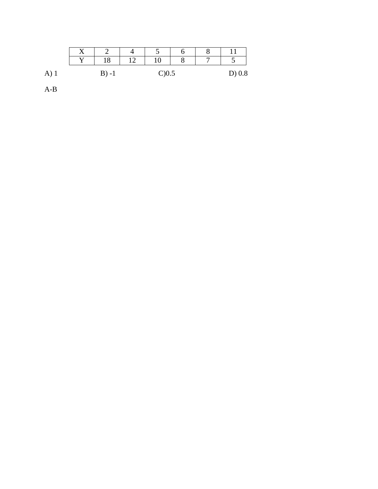|    |                         |                         |           | ັ           |  |          |
|----|-------------------------|-------------------------|-----------|-------------|--|----------|
|    | $\overline{\mathbf{x}}$ | 18                      | $1\Omega$ |             |  |          |
| A, |                         | $\mathbf{B}$<br>$' - 1$ |           | $C$ ) $0.5$ |  | $D)$ 0.8 |

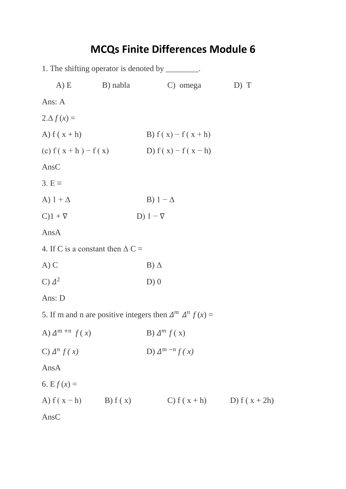# **MCQs Finite Differences Module 6**

|                                         |          | 1. The shifting operator is denoted by ________.                    |      |
|-----------------------------------------|----------|---------------------------------------------------------------------|------|
| (A) E                                   | B) nabla | C) omega                                                            | D) T |
| Ans: A                                  |          |                                                                     |      |
| $2.\Delta f(x) =$                       |          |                                                                     |      |
| A) $f(x+h)$                             |          | B) $f(x) - f(x+h)$                                                  |      |
| (c) $f(x+h) - f(x)$                     |          | D) $f(x) - f(x - h)$                                                |      |
| AnsC                                    |          |                                                                     |      |
| $3. E \equiv$                           |          |                                                                     |      |
| A) $1 + \Delta$                         |          | B) $1 - \Delta$                                                     |      |
| $C$ ) $1 + \nabla$                      |          | D) $1 - \nabla$                                                     |      |
| AnsA                                    |          |                                                                     |      |
| 4. If C is a constant then $\Delta C =$ |          |                                                                     |      |
| A) C                                    |          | $B)$ $\Delta$                                                       |      |
| C) $\Delta^2$                           |          | D(0)                                                                |      |
| Ans: D                                  |          |                                                                     |      |
|                                         |          | 5. If m and n are positive integers then $\Delta^m \Delta^n f(x) =$ |      |
| A) $\Delta^{m+n} f(x)$                  |          | B) $\Delta^m f(x)$                                                  |      |
| C) $\Delta^n f(x)$                      |          | D) $\Delta^{m-n} f(x)$                                              |      |
| AnsA                                    |          |                                                                     |      |
| 6. $E f(x) =$                           |          |                                                                     |      |
| A) $f(x-h)$ B) $f(x)$                   |          | C) $f(x+h)$ D) $f(x+2h)$                                            |      |
| AnsC                                    |          |                                                                     |      |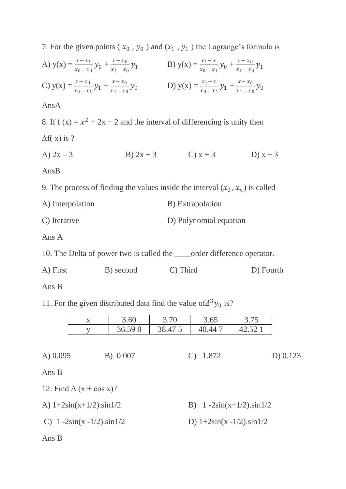7. For the given points ( $x_0$ ,  $y_0$ ) and ( $x_1$ ,  $y_1$ ) the Lagrange's formula is

A) 
$$
y(x) = \frac{x - x_1}{x_0 - x_1} y_0 + \frac{x - x_0}{x_1 - x_0} y_1
$$
  
\nB)  $y(x) = \frac{x_1 - x_1}{x_0 - x_1} y_0 + \frac{x - x_0}{x_1 - x_0} y_1$   
\nC)  $y(x) = \frac{x - x_1}{x_0 - x_1} y_1 + \frac{x - x_0}{x_1 - x_0} y_0$   
\nD)  $y(x) = \frac{x_1 - x_1}{x_0 - x_1} y_1 + \frac{x - x_0}{x_1 - x_0} y_0$   
\nAnsA  
\n8. If  $f(x) = x^2 + 2x + 2$  and the interval of differentiating is unity then  
\n $\Delta f(x)$  is ?  
\nA)  $2x - 3$   
\nB)  $2x + 3$   
\nC)  $x + 3$   
\nD)  $x - 3$   
\nAnsB  
\n9. The process of finding the values inside the interval  $(x_0, x_n)$  is called  
\nA) Interpolation  
\nC) Iterative  
\nD) Polynomial equation  
\nAns A  
\n10. The Delta of power two is called the \_\_ order difference operator.  
\nA) First  
\nB) second  
\nC) Third  
\nD) Formula  
\nD) Formula equation  
\nD) Formula  
\nD) Formula  
\nD) Formula

Ans B

11. For the given distributed data find the value of  $\Delta^3 y_0$  is?

|             | $\mathbf{X}$                            | 3.60     | 3.70   | 3.65                            | 3.75    |          |
|-------------|-----------------------------------------|----------|--------|---------------------------------|---------|----------|
|             |                                         | 36.598   | 38.475 | 40.447                          | 42.52 1 |          |
|             |                                         |          |        |                                 |         |          |
| A $) 0.095$ |                                         | B) 0.007 |        | 1.872                           |         | D) 0.123 |
| Ans B       |                                         |          |        |                                 |         |          |
|             | 12. Find $\Delta$ (x + cos x)?          |          |        |                                 |         |          |
|             | A) $1+2\sin(x+1/2).\sin 1/2$            |          |        | B) $1 - 2\sin(x+1/2).\sin 1/2$  |         |          |
|             | C) $1 - 2\sin(x - 1/2) \cdot \sin(1/2)$ |          |        | D) $1+2\sin(x - 1/2).\sin(1/2)$ |         |          |
|             |                                         |          |        |                                 |         |          |

Ans B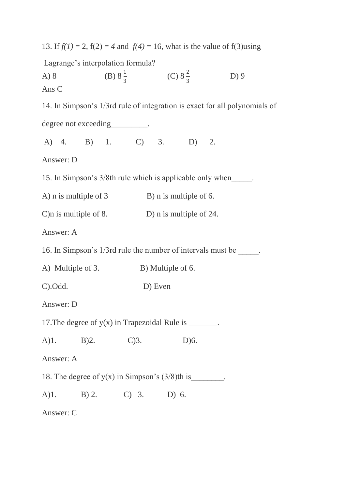| 13. If $f(1) = 2$ , $f(2) = 4$ and $f(4) = 16$ , what is the value of $f(3)$ using |                                       |                         |      |                                                                            |
|------------------------------------------------------------------------------------|---------------------------------------|-------------------------|------|----------------------------------------------------------------------------|
| Lagrange's interpolation formula?<br>A) 8<br>Ans C                                 | (B) $8\frac{1}{3}$ (C) $8\frac{2}{3}$ |                         |      | $D$ ) 9                                                                    |
|                                                                                    |                                       |                         |      | 14. In Simpson's 1/3rd rule of integration is exact for all polynomials of |
| degree not exceeding__________.                                                    |                                       |                         |      |                                                                            |
| A) 4. B) 1. C) 3. D) 2.                                                            |                                       |                         |      |                                                                            |
| Answer: D                                                                          |                                       |                         |      |                                                                            |
| 15. In Simpson's 3/8th rule which is applicable only when                          |                                       |                         |      |                                                                            |
| A) n is multiple of $3$                                                            |                                       | B) n is multiple of 6.  |      |                                                                            |
| C) n is multiple of 8.                                                             |                                       | D) n is multiple of 24. |      |                                                                            |
| Answer: A                                                                          |                                       |                         |      |                                                                            |
| 16. In Simpson's 1/3rd rule the number of intervals must be ______.                |                                       |                         |      |                                                                            |
| A) Multiple of 3.                                                                  |                                       | B) Multiple of 6.       |      |                                                                            |
| C).Odd.                                                                            |                                       | D) Even                 |      |                                                                            |
| Answer: D                                                                          |                                       |                         |      |                                                                            |
| 17. The degree of $y(x)$ in Trapezoidal Rule is _______.                           |                                       |                         |      |                                                                            |
| A)1. B)2. C)3.                                                                     |                                       |                         | D)6. |                                                                            |
| Answer: A                                                                          |                                       |                         |      |                                                                            |
| 18. The degree of $y(x)$ in Simpson's $(3/8)$ th is ________.                      |                                       |                         |      |                                                                            |
| A)1. B) 2. C) 3. D) 6.                                                             |                                       |                         |      |                                                                            |
| Answer: C                                                                          |                                       |                         |      |                                                                            |
|                                                                                    |                                       |                         |      |                                                                            |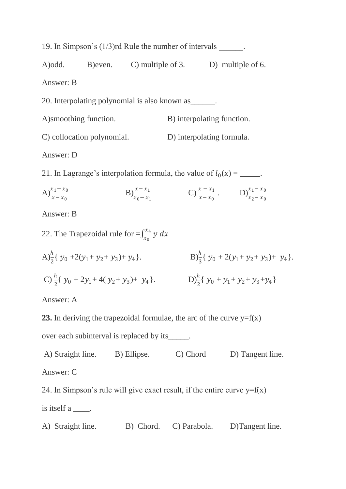19. In Simpson's (1/3)rd Rule the number of intervals \_\_\_\_\_\_. A)odd. B)even. C) multiple of 3. D) multiple of 6. Answer: B 20. Interpolating polynomial is also known as\_\_\_\_\_\_. A)smoothing function. B) interpolating function. C) collocation polynomial. D) interpolating formula. Answer: D

21. In Lagrange's interpolation formula, the value of  $l_0(x) =$  \_\_\_\_\_.

A) 
$$
\frac{x_1 - x_0}{x - x_0}
$$
 \t\t B)  $\frac{x - x_1}{x_0 - x_1}$  \t\t C)  $\frac{x - x_1}{x - x_0}$  \t\t D)  $\frac{x_1 - x_0}{x_2 - x_0}$ 

Answer: B

22. The Trapezoidal rule for  $=\int_{x_0}^{x_4} y \, dx$  $x_0$ 

A)
$$
\frac{h}{2}
$$
{  $y_0 + 2(y_1 + y_2 + y_3) + y_4$  }.  
\nB) $\frac{h}{3}$ {  $y_0 + 2(y_1 + y_2 + y_3) + y_4$  }.  
\nC) $\frac{h}{2}$ {  $y_0 + 2y_1 + 4(y_2 + y_3) + y_4$  }.  
\nD) $\frac{h}{2}$ {  $y_0 + y_1 + y_2 + y_3 + y_4$ }

Answer: A

**23.** In deriving the trapezoidal formulae, the arc of the curve  $y=f(x)$ 

over each subinterval is replaced by its\_\_\_\_\_.

A) Straight line. B) Ellipse. C) Chord D) Tangent line. Answer: C

24. In Simpson's rule will give exact result, if the entire curve  $y=f(x)$ 

is itself a  $\_\_\_\_\$ .

A) Straight line. B) Chord. C) Parabola. D)Tangent line.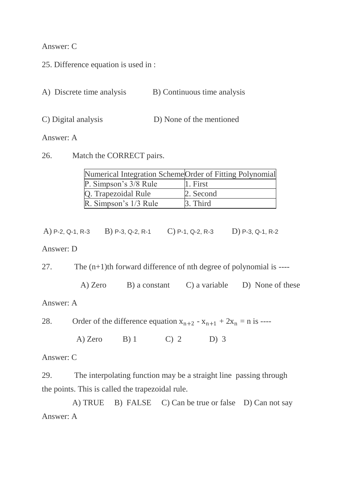Answer: C

25. Difference equation is used in :

| A) Discrete time analysis | B) Continuous time analysis |
|---------------------------|-----------------------------|
|---------------------------|-----------------------------|

C) Digital analysis D) None of the mentioned

Answer: A

26. Match the CORRECT pairs.

| Numerical Integration Scheme Order of Fitting Polynomial |           |
|----------------------------------------------------------|-----------|
| P. Simpson's 3/8 Rule                                    | 1. First  |
| Q. Trapezoidal Rule                                      | 2. Second |
| R. Simpson's 1/3 Rule                                    | 3. Third  |

A) P-2, Q-1, R-3 B) P-3, Q-2, R-1 C) P-1, Q-2, R-3 D) P-3, Q-1, R-2

#### Answer: D

27. The (n+1)th forward difference of nth degree of polynomial is ----

A) Zero B) a constant C) a variable D) None of these

#### Answer: A

28. Order of the difference equation  $x_{n+2} - x_{n+1} + 2x_n = n$  is ----

A) Zero B) 1 C) 2 D) 3

Answer: C

29. The interpolating function may be a straight line passing through the points. This is called the trapezoidal rule.

 A) TRUE B) FALSE C) Can be true or false D) Can not say Answer: A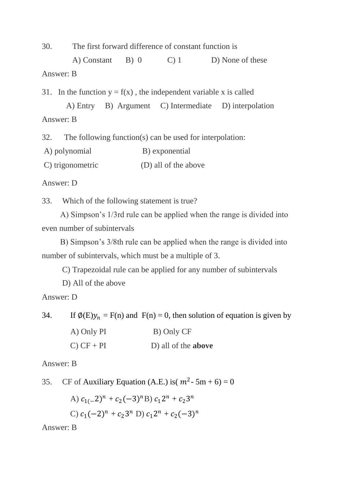30. The first forward difference of constant function is

A) Constant B) 0 C) 1 D) None of these Answer: B

31. In the function  $y = f(x)$ , the independent variable x is called

 A) Entry B) Argument C) Intermediate D) interpolation Answer: B

32. The following function(s) can be used for interpolation:

A) polynomial B) exponential

C) trigonometric (D) all of the above

Answer: D

33. Which of the following statement is true?

 A) Simpson's 1/3rd rule can be applied when the range is divided into even number of subintervals

 B) Simpson's 3/8th rule can be applied when the range is divided into number of subintervals, which must be a multiple of 3.

C) Trapezoidal rule can be applied for any number of subintervals

D) All of the above

Answer: D

34. If  $\phi(E) y_n = F(n)$  and  $F(n) = 0$ , then solution of equation is given by A) Only PI B) Only CF C)  $CF + PI$  D) all of the **above** 

Answer: B

35. CF of Auxiliary Equation (A.E.) is( $m^2$ - 5m + 6) = 0

A) 
$$
c_{1}(-2)^n + c_2(-3)^n B
$$
  $c_1 2^n + c_2 3^n$   
C)  $c_1(-2)^n + c_2 3^n D$   $c_1 2^n + c_2(-3)^n$ 

Answer: B